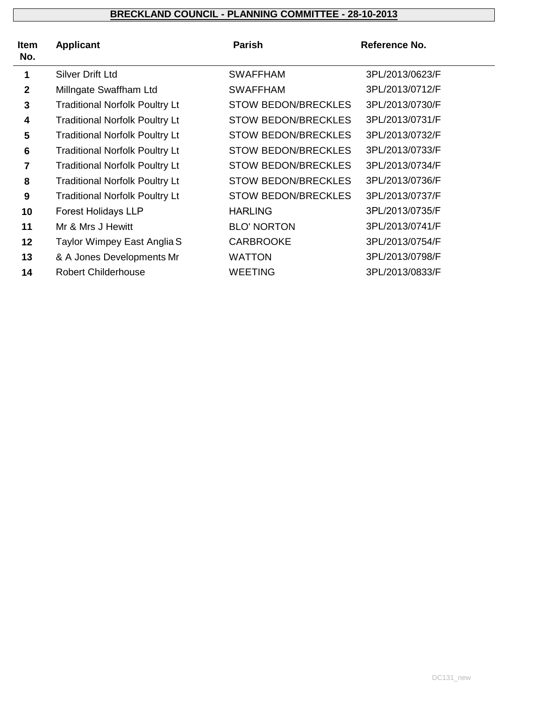| <b>Item</b><br>No. | <b>Applicant</b>                      | Parish                     | Reference No.   |
|--------------------|---------------------------------------|----------------------------|-----------------|
| 1                  | <b>Silver Drift Ltd</b>               | <b>SWAFFHAM</b>            | 3PL/2013/0623/F |
| $\mathbf{2}$       | Millngate Swaffham Ltd                | <b>SWAFFHAM</b>            | 3PL/2013/0712/F |
| 3                  | <b>Traditional Norfolk Poultry Lt</b> | <b>STOW BEDON/BRECKLES</b> | 3PL/2013/0730/F |
| 4                  | <b>Traditional Norfolk Poultry Lt</b> | <b>STOW BEDON/BRECKLES</b> | 3PL/2013/0731/F |
| 5                  | <b>Traditional Norfolk Poultry Lt</b> | <b>STOW BEDON/BRECKLES</b> | 3PL/2013/0732/F |
| $6\phantom{1}6$    | <b>Traditional Norfolk Poultry Lt</b> | <b>STOW BEDON/BRECKLES</b> | 3PL/2013/0733/F |
| 7                  | <b>Traditional Norfolk Poultry Lt</b> | <b>STOW BEDON/BRECKLES</b> | 3PL/2013/0734/F |
| 8                  | <b>Traditional Norfolk Poultry Lt</b> | <b>STOW BEDON/BRECKLES</b> | 3PL/2013/0736/F |
| 9                  | <b>Traditional Norfolk Poultry Lt</b> | <b>STOW BEDON/BRECKLES</b> | 3PL/2013/0737/F |
| 10                 | <b>Forest Holidays LLP</b>            | <b>HARLING</b>             | 3PL/2013/0735/F |
| 11                 | Mr & Mrs J Hewitt                     | <b>BLO' NORTON</b>         | 3PL/2013/0741/F |
| 12                 | Taylor Wimpey East Anglia S           | <b>CARBROOKE</b>           | 3PL/2013/0754/F |
| 13                 | & A Jones Developments Mr             | <b>WATTON</b>              | 3PL/2013/0798/F |
| 14                 | <b>Robert Childerhouse</b>            | <b>WEETING</b>             | 3PL/2013/0833/F |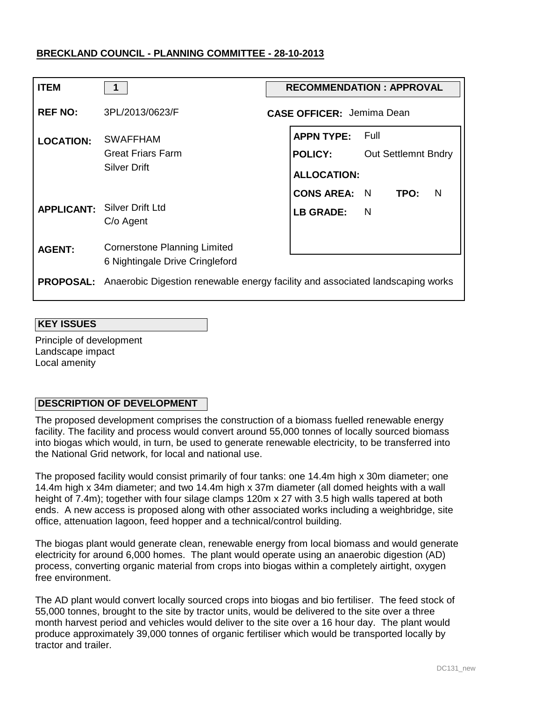| <b>ITEM</b>       | 1                                                                      | <b>RECOMMENDATION: APPROVAL</b>                                                              |  |  |  |
|-------------------|------------------------------------------------------------------------|----------------------------------------------------------------------------------------------|--|--|--|
| <b>REF NO:</b>    | 3PL/2013/0623/F                                                        | <b>CASE OFFICER: Jemima Dean</b>                                                             |  |  |  |
| <b>LOCATION:</b>  | <b>SWAFFHAM</b><br><b>Great Friars Farm</b><br><b>Silver Drift</b>     | <b>APPN TYPE: Full</b><br><b>POLICY:</b><br><b>Out Settlemnt Bndry</b><br><b>ALLOCATION:</b> |  |  |  |
| <b>APPLICANT:</b> | <b>Silver Drift Ltd</b><br>C/o Agent                                   | <b>CONS AREA: N</b><br>TPO:<br><sup>N</sup><br><b>LB GRADE:</b><br><sub>N</sub>              |  |  |  |
| <b>AGENT:</b>     | <b>Cornerstone Planning Limited</b><br>6 Nightingale Drive Cringleford |                                                                                              |  |  |  |
| <b>PROPOSAL:</b>  |                                                                        | Anaerobic Digestion renewable energy facility and associated landscaping works               |  |  |  |

### **KEY ISSUES**

Principle of development Landscape impact Local amenity

# **DESCRIPTION OF DEVELOPMENT**

The proposed development comprises the construction of a biomass fuelled renewable energy facility. The facility and process would convert around 55,000 tonnes of locally sourced biomass into biogas which would, in turn, be used to generate renewable electricity, to be transferred into the National Grid network, for local and national use.

The proposed facility would consist primarily of four tanks: one 14.4m high x 30m diameter; one 14.4m high x 34m diameter; and two 14.4m high x 37m diameter (all domed heights with a wall height of 7.4m); together with four silage clamps 120m x 27 with 3.5 high walls tapered at both ends. A new access is proposed along with other associated works including a weighbridge, site office, attenuation lagoon, feed hopper and a technical/control building.

The biogas plant would generate clean, renewable energy from local biomass and would generate electricity for around 6,000 homes. The plant would operate using an anaerobic digestion (AD) process, converting organic material from crops into biogas within a completely airtight, oxygen free environment.

The AD plant would convert locally sourced crops into biogas and bio fertiliser. The feed stock of 55,000 tonnes, brought to the site by tractor units, would be delivered to the site over a three month harvest period and vehicles would deliver to the site over a 16 hour day. The plant would produce approximately 39,000 tonnes of organic fertiliser which would be transported locally by tractor and trailer.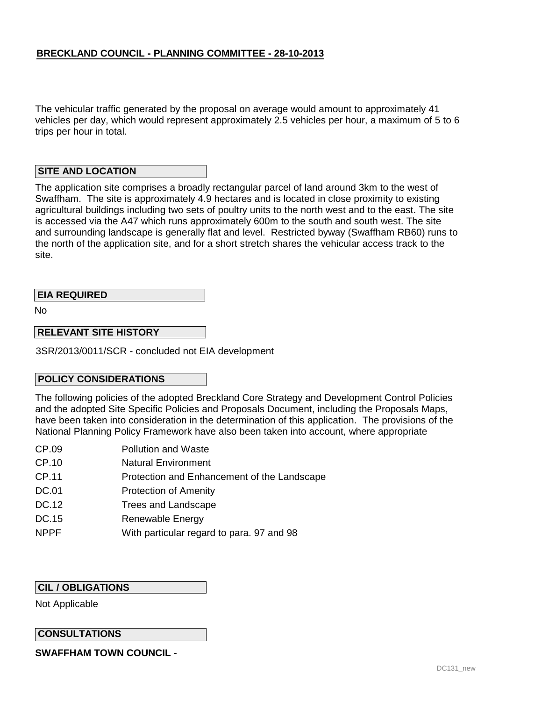The vehicular traffic generated by the proposal on average would amount to approximately 41 vehicles per day, which would represent approximately 2.5 vehicles per hour, a maximum of 5 to 6 trips per hour in total.

### **SITE AND LOCATION**

The application site comprises a broadly rectangular parcel of land around 3km to the west of Swaffham. The site is approximately 4.9 hectares and is located in close proximity to existing agricultural buildings including two sets of poultry units to the north west and to the east. The site is accessed via the A47 which runs approximately 600m to the south and south west. The site and surrounding landscape is generally flat and level. Restricted byway (Swaffham RB60) runs to the north of the application site, and for a short stretch shares the vehicular access track to the site.

# **EIA REQUIRED**

No

# **RELEVANT SITE HISTORY**

3SR/2013/0011/SCR - concluded not EIA development

### **POLICY CONSIDERATIONS**

The following policies of the adopted Breckland Core Strategy and Development Control Policies and the adopted Site Specific Policies and Proposals Document, including the Proposals Maps, have been taken into consideration in the determination of this application. The provisions of the National Planning Policy Framework have also been taken into account, where appropriate

- CP.09 Pollution and Waste
- CP.10 Natural Environment
- CP.11 Protection and Enhancement of the Landscape
- DC.01 Protection of Amenity
- DC.12 Trees and Landscape
- DC.15 Renewable Energy
- NPPF With particular regard to para. 97 and 98

# **CIL / OBLIGATIONS**

Not Applicable

### **CONSULTATIONS**

**SWAFFHAM TOWN COUNCIL -**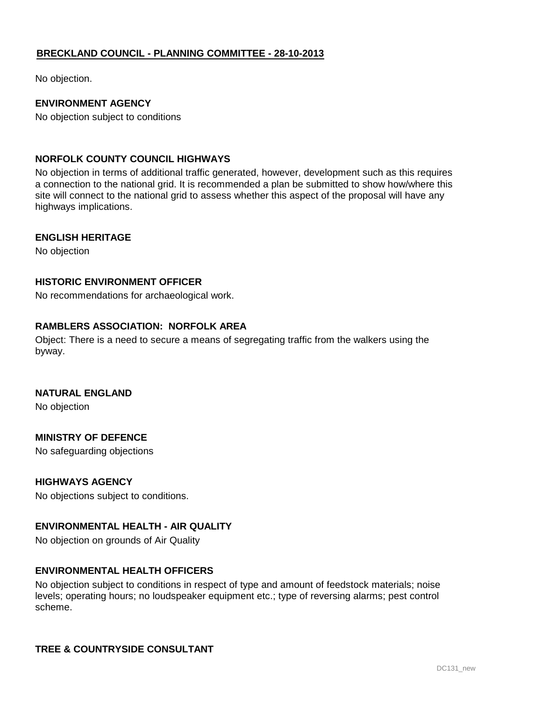No objection.

# **ENVIRONMENT AGENCY**

No objection subject to conditions

### **NORFOLK COUNTY COUNCIL HIGHWAYS**

No objection in terms of additional traffic generated, however, development such as this requires a connection to the national grid. It is recommended a plan be submitted to show how/where this site will connect to the national grid to assess whether this aspect of the proposal will have any highways implications.

### **ENGLISH HERITAGE**

No objection

### **HISTORIC ENVIRONMENT OFFICER**

No recommendations for archaeological work.

# **RAMBLERS ASSOCIATION: NORFOLK AREA**

Object: There is a need to secure a means of segregating traffic from the walkers using the byway.

### **NATURAL ENGLAND**

No objection

### **MINISTRY OF DEFENCE**

No safeguarding objections

# **HIGHWAYS AGENCY**

No objections subject to conditions.

### **ENVIRONMENTAL HEALTH - AIR QUALITY**

No objection on grounds of Air Quality

### **ENVIRONMENTAL HEALTH OFFICERS**

No objection subject to conditions in respect of type and amount of feedstock materials; noise levels; operating hours; no loudspeaker equipment etc.; type of reversing alarms; pest control scheme.

# **TREE & COUNTRYSIDE CONSULTANT**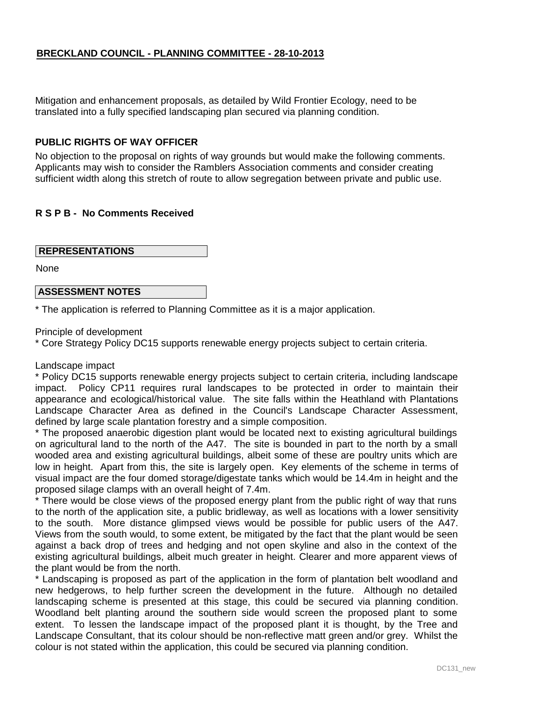Mitigation and enhancement proposals, as detailed by Wild Frontier Ecology, need to be translated into a fully specified landscaping plan secured via planning condition.

### **PUBLIC RIGHTS OF WAY OFFICER**

No objection to the proposal on rights of way grounds but would make the following comments. Applicants may wish to consider the Ramblers Association comments and consider creating sufficient width along this stretch of route to allow segregation between private and public use.

# **R S P B - No Comments Received**

### **REPRESENTATIONS**

None

### **ASSESSMENT NOTES**

\* The application is referred to Planning Committee as it is a major application.

Principle of development

\* Core Strategy Policy DC15 supports renewable energy projects subject to certain criteria.

#### Landscape impact

\* Policy DC15 supports renewable energy projects subject to certain criteria, including landscape impact. Policy CP11 requires rural landscapes to be protected in order to maintain their appearance and ecological/historical value. The site falls within the Heathland with Plantations Landscape Character Area as defined in the Council's Landscape Character Assessment, defined by large scale plantation forestry and a simple composition.

\* The proposed anaerobic digestion plant would be located next to existing agricultural buildings on agricultural land to the north of the A47. The site is bounded in part to the north by a small wooded area and existing agricultural buildings, albeit some of these are poultry units which are low in height. Apart from this, the site is largely open. Key elements of the scheme in terms of visual impact are the four domed storage/digestate tanks which would be 14.4m in height and the proposed silage clamps with an overall height of 7.4m.

\* There would be close views of the proposed energy plant from the public right of way that runs to the north of the application site, a public bridleway, as well as locations with a lower sensitivity to the south. More distance glimpsed views would be possible for public users of the A47. Views from the south would, to some extent, be mitigated by the fact that the plant would be seen against a back drop of trees and hedging and not open skyline and also in the context of the existing agricultural buildings, albeit much greater in height. Clearer and more apparent views of the plant would be from the north.

\* Landscaping is proposed as part of the application in the form of plantation belt woodland and new hedgerows, to help further screen the development in the future. Although no detailed landscaping scheme is presented at this stage, this could be secured via planning condition. Woodland belt planting around the southern side would screen the proposed plant to some extent. To lessen the landscape impact of the proposed plant it is thought, by the Tree and Landscape Consultant, that its colour should be non-reflective matt green and/or grey. Whilst the colour is not stated within the application, this could be secured via planning condition.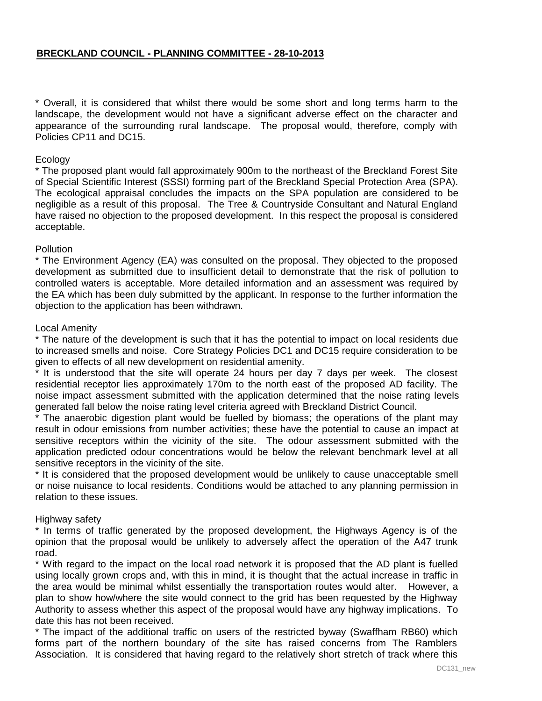\* Overall, it is considered that whilst there would be some short and long terms harm to the landscape, the development would not have a significant adverse effect on the character and appearance of the surrounding rural landscape. The proposal would, therefore, comply with Policies CP11 and DC15.

# Ecology

\* The proposed plant would fall approximately 900m to the northeast of the Breckland Forest Site of Special Scientific Interest (SSSI) forming part of the Breckland Special Protection Area (SPA). The ecological appraisal concludes the impacts on the SPA population are considered to be negligible as a result of this proposal. The Tree & Countryside Consultant and Natural England have raised no objection to the proposed development. In this respect the proposal is considered acceptable.

#### **Pollution**

\* The Environment Agency (EA) was consulted on the proposal. They objected to the proposed development as submitted due to insufficient detail to demonstrate that the risk of pollution to controlled waters is acceptable. More detailed information and an assessment was required by the EA which has been duly submitted by the applicant. In response to the further information the objection to the application has been withdrawn.

#### Local Amenity

\* The nature of the development is such that it has the potential to impact on local residents due to increased smells and noise. Core Strategy Policies DC1 and DC15 require consideration to be given to effects of all new development on residential amenity.

\* It is understood that the site will operate 24 hours per day 7 days per week. The closest residential receptor lies approximately 170m to the north east of the proposed AD facility. The noise impact assessment submitted with the application determined that the noise rating levels generated fall below the noise rating level criteria agreed with Breckland District Council.

\* The anaerobic digestion plant would be fuelled by biomass; the operations of the plant may result in odour emissions from number activities; these have the potential to cause an impact at sensitive receptors within the vicinity of the site. The odour assessment submitted with the application predicted odour concentrations would be below the relevant benchmark level at all sensitive receptors in the vicinity of the site.

\* It is considered that the proposed development would be unlikely to cause unacceptable smell or noise nuisance to local residents. Conditions would be attached to any planning permission in relation to these issues.

#### Highway safety

\* In terms of traffic generated by the proposed development, the Highways Agency is of the opinion that the proposal would be unlikely to adversely affect the operation of the A47 trunk road.

\* With regard to the impact on the local road network it is proposed that the AD plant is fuelled using locally grown crops and, with this in mind, it is thought that the actual increase in traffic in the area would be minimal whilst essentially the transportation routes would alter. However, a plan to show how/where the site would connect to the grid has been requested by the Highway Authority to assess whether this aspect of the proposal would have any highway implications. To date this has not been received.

\* The impact of the additional traffic on users of the restricted byway (Swaffham RB60) which forms part of the northern boundary of the site has raised concerns from The Ramblers Association. It is considered that having regard to the relatively short stretch of track where this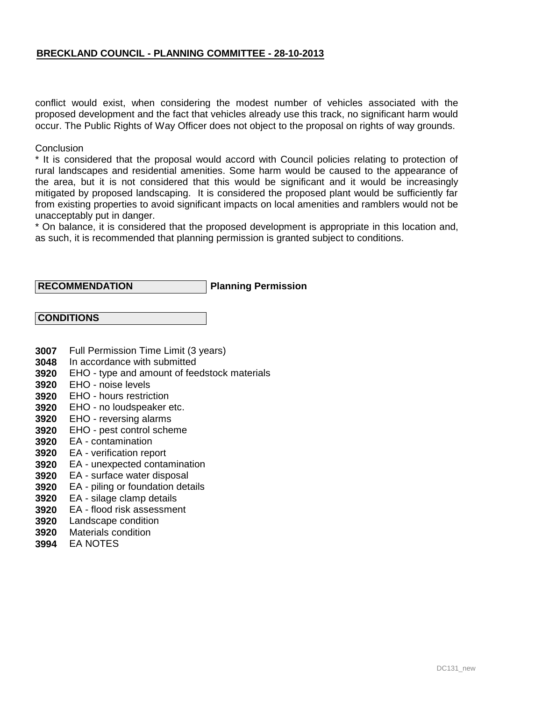conflict would exist, when considering the modest number of vehicles associated with the proposed development and the fact that vehicles already use this track, no significant harm would occur. The Public Rights of Way Officer does not object to the proposal on rights of way grounds.

#### **Conclusion**

\* It is considered that the proposal would accord with Council policies relating to protection of rural landscapes and residential amenities. Some harm would be caused to the appearance of the area, but it is not considered that this would be significant and it would be increasingly mitigated by proposed landscaping. It is considered the proposed plant would be sufficiently far from existing properties to avoid significant impacts on local amenities and ramblers would not be unacceptably put in danger.

\* On balance, it is considered that the proposed development is appropriate in this location and, as such, it is recommended that planning permission is granted subject to conditions.

#### **RECOMMENDATION**

#### **Planning Permission**

| <b>CONDITIONS</b> |
|-------------------|
|-------------------|

- **3007** Full Permission Time Limit (3 years)
- **3048** In accordance with submitted
- **3920** EHO - type and amount of feedstock materials
- **3920** EHO - noise levels
- **3920** EHO - hours restriction
- **3920** EHO - no loudspeaker etc.
- **3920** EHO - reversing alarms
- **3920** EHO - pest control scheme
- **3920** EA contamination
- **3920** EA verification report
- **3920** EA unexpected contamination
- **3920** EA - surface water disposal
- **3920** EA - piling or foundation details
- **3920** EA - silage clamp details
- **3920** EA - flood risk assessment
- **3920** Landscape condition
- **3920** Materials condition
- **3994** EA NOTES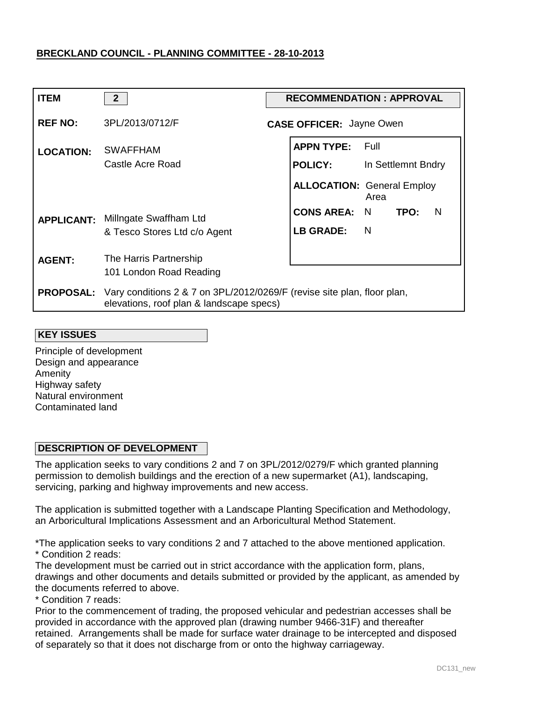| <b>ITEM</b>      | $\overline{2}$                                                                                                                       | <b>RECOMMENDATION: APPROVAL</b> |                                 |                                           |  |  |
|------------------|--------------------------------------------------------------------------------------------------------------------------------------|---------------------------------|---------------------------------|-------------------------------------------|--|--|
| <b>REF NO:</b>   | 3PL/2013/0712/F                                                                                                                      |                                 | <b>CASE OFFICER: Jayne Owen</b> |                                           |  |  |
| <b>LOCATION:</b> | <b>SWAFFHAM</b>                                                                                                                      |                                 | <b>APPN TYPE:</b>               | – Full                                    |  |  |
|                  | Castle Acre Road                                                                                                                     |                                 | <b>POLICY:</b>                  | In Settlemnt Bndry                        |  |  |
|                  |                                                                                                                                      |                                 |                                 | <b>ALLOCATION: General Employ</b><br>Area |  |  |
|                  | <b>APPLICANT:</b> Millngate Swaffham Ltd                                                                                             |                                 | <b>CONS AREA: N</b>             | TPO:<br>N                                 |  |  |
|                  | & Tesco Stores Ltd c/o Agent                                                                                                         |                                 | <b>LB GRADE:</b>                | - N                                       |  |  |
| <b>AGENT:</b>    | The Harris Partnership                                                                                                               |                                 |                                 |                                           |  |  |
|                  | 101 London Road Reading                                                                                                              |                                 |                                 |                                           |  |  |
|                  | <b>PROPOSAL:</b> Vary conditions 2 & 7 on 3PL/2012/0269/F (revise site plan, floor plan,<br>elevations, roof plan & landscape specs) |                                 |                                 |                                           |  |  |

#### **KEY ISSUES**

Principle of development Design and appearance Amenity Highway safety Natural environment Contaminated land

# **DESCRIPTION OF DEVELOPMENT**

The application seeks to vary conditions 2 and 7 on 3PL/2012/0279/F which granted planning permission to demolish buildings and the erection of a new supermarket (A1), landscaping, servicing, parking and highway improvements and new access.

The application is submitted together with a Landscape Planting Specification and Methodology, an Arboricultural Implications Assessment and an Arboricultural Method Statement.

\*The application seeks to vary conditions 2 and 7 attached to the above mentioned application. \* Condition 2 reads:

The development must be carried out in strict accordance with the application form, plans, drawings and other documents and details submitted or provided by the applicant, as amended by the documents referred to above.

\* Condition 7 reads:

Prior to the commencement of trading, the proposed vehicular and pedestrian accesses shall be provided in accordance with the approved plan (drawing number 9466-31F) and thereafter retained. Arrangements shall be made for surface water drainage to be intercepted and disposed of separately so that it does not discharge from or onto the highway carriageway.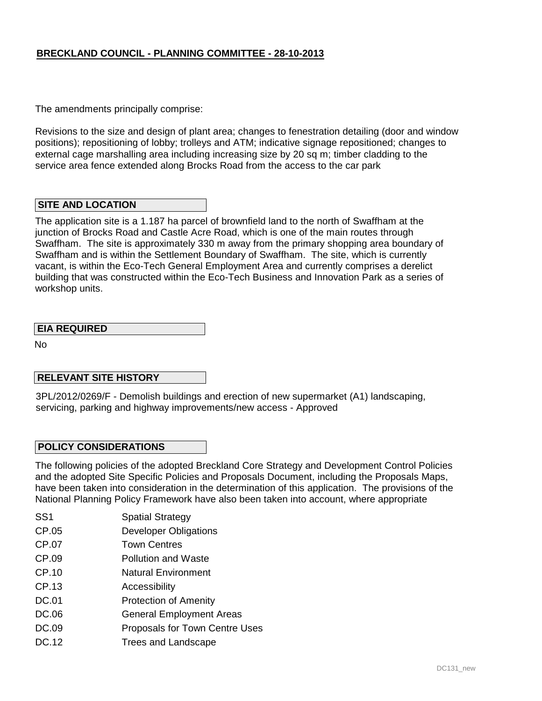The amendments principally comprise:

Revisions to the size and design of plant area; changes to fenestration detailing (door and window positions); repositioning of lobby; trolleys and ATM; indicative signage repositioned; changes to external cage marshalling area including increasing size by 20 sq m; timber cladding to the service area fence extended along Brocks Road from the access to the car park

### **SITE AND LOCATION**

The application site is a 1.187 ha parcel of brownfield land to the north of Swaffham at the junction of Brocks Road and Castle Acre Road, which is one of the main routes through Swaffham. The site is approximately 330 m away from the primary shopping area boundary of Swaffham and is within the Settlement Boundary of Swaffham. The site, which is currently vacant, is within the Eco-Tech General Employment Area and currently comprises a derelict building that was constructed within the Eco-Tech Business and Innovation Park as a series of workshop units.

### **EIA REQUIRED**

No

### **RELEVANT SITE HISTORY**

3PL/2012/0269/F - Demolish buildings and erection of new supermarket (A1) landscaping, servicing, parking and highway improvements/new access - Approved

### **POLICY CONSIDERATIONS**

The following policies of the adopted Breckland Core Strategy and Development Control Policies and the adopted Site Specific Policies and Proposals Document, including the Proposals Maps, have been taken into consideration in the determination of this application. The provisions of the National Planning Policy Framework have also been taken into account, where appropriate

- SS1 Spatial Strategy
- CP.05 Developer Obligations
- CP.07 Town Centres
- CP.09 Pollution and Waste
- CP.10 Natural Environment
- CP.13 Accessibility
- DC.01 Protection of Amenity
- DC.06 General Employment Areas
- DC.09 Proposals for Town Centre Uses
- DC.12 Trees and Landscape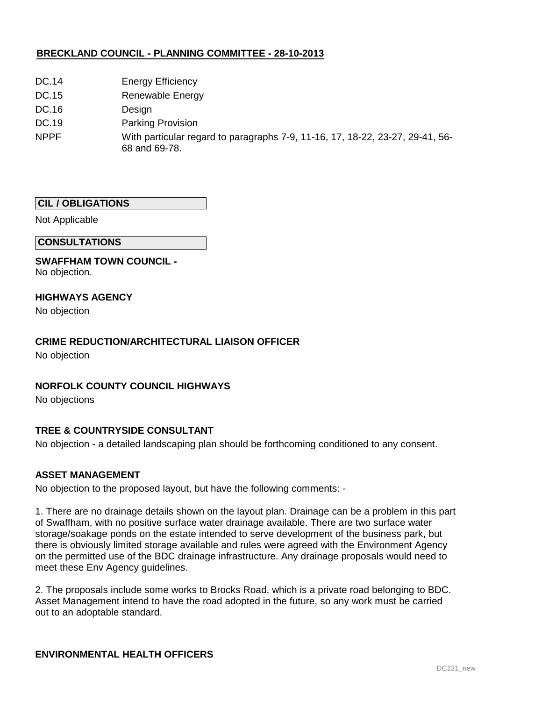- DC.14 Energy Efficiency
- DC.15 Renewable Energy
- DC.16 Design
- DC.19 Parking Provision
- NPPF With particular regard to paragraphs 7-9, 11-16, 17, 18-22, 23-27, 29-41, 56- 68 and 69-78.

### **CIL / OBLIGATIONS**

Not Applicable

#### **CONSULTATIONS**

**SWAFFHAM TOWN COUNCIL -**  No objection.

### **HIGHWAYS AGENCY**

No objection

# **CRIME REDUCTION/ARCHITECTURAL LIAISON OFFICER**

No objection

# **NORFOLK COUNTY COUNCIL HIGHWAYS**

No objections

# **TREE & COUNTRYSIDE CONSULTANT**

No objection - a detailed landscaping plan should be forthcoming conditioned to any consent.

### **ASSET MANAGEMENT**

No objection to the proposed layout, but have the following comments: -

1. There are no drainage details shown on the layout plan. Drainage can be a problem in this part of Swaffham, with no positive surface water drainage available. There are two surface water storage/soakage ponds on the estate intended to serve development of the business park, but there is obviously limited storage available and rules were agreed with the Environment Agency on the permitted use of the BDC drainage infrastructure. Any drainage proposals would need to meet these Env Agency guidelines.

2. The proposals include some works to Brocks Road, which is a private road belonging to BDC. Asset Management intend to have the road adopted in the future, so any work must be carried out to an adoptable standard.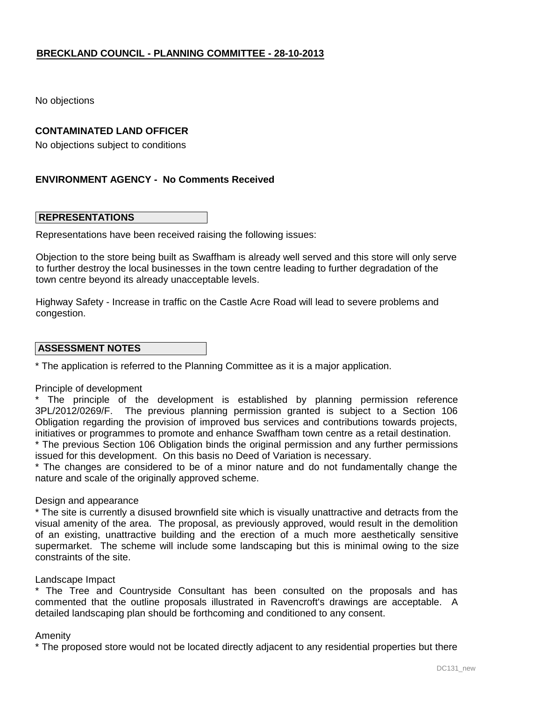No objections

# **CONTAMINATED LAND OFFICER**

No objections subject to conditions

# **ENVIRONMENT AGENCY - No Comments Received**

#### **REPRESENTATIONS**

Representations have been received raising the following issues:

Objection to the store being built as Swaffham is already well served and this store will only serve to further destroy the local businesses in the town centre leading to further degradation of the town centre beyond its already unacceptable levels.

Highway Safety - Increase in traffic on the Castle Acre Road will lead to severe problems and congestion.

#### **ASSESSMENT NOTES**

\* The application is referred to the Planning Committee as it is a major application.

#### Principle of development

\* The principle of the development is established by planning permission reference 3PL/2012/0269/F. The previous planning permission granted is subject to a Section 106 Obligation regarding the provision of improved bus services and contributions towards projects, initiatives or programmes to promote and enhance Swaffham town centre as a retail destination.

\* The previous Section 106 Obligation binds the original permission and any further permissions issued for this development. On this basis no Deed of Variation is necessary.

\* The changes are considered to be of a minor nature and do not fundamentally change the nature and scale of the originally approved scheme.

#### Design and appearance

\* The site is currently a disused brownfield site which is visually unattractive and detracts from the visual amenity of the area. The proposal, as previously approved, would result in the demolition of an existing, unattractive building and the erection of a much more aesthetically sensitive supermarket. The scheme will include some landscaping but this is minimal owing to the size constraints of the site.

#### Landscape Impact

\* The Tree and Countryside Consultant has been consulted on the proposals and has commented that the outline proposals illustrated in Ravencroft's drawings are acceptable. A detailed landscaping plan should be forthcoming and conditioned to any consent.

#### Amenity

\* The proposed store would not be located directly adjacent to any residential properties but there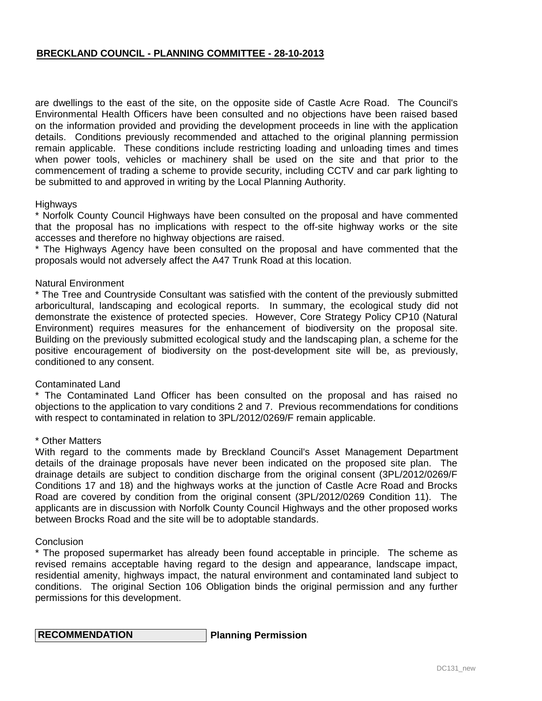are dwellings to the east of the site, on the opposite side of Castle Acre Road. The Council's Environmental Health Officers have been consulted and no objections have been raised based on the information provided and providing the development proceeds in line with the application details. Conditions previously recommended and attached to the original planning permission remain applicable. These conditions include restricting loading and unloading times and times when power tools, vehicles or machinery shall be used on the site and that prior to the commencement of trading a scheme to provide security, including CCTV and car park lighting to be submitted to and approved in writing by the Local Planning Authority.

#### **Highways**

\* Norfolk County Council Highways have been consulted on the proposal and have commented that the proposal has no implications with respect to the off-site highway works or the site accesses and therefore no highway objections are raised.

\* The Highways Agency have been consulted on the proposal and have commented that the proposals would not adversely affect the A47 Trunk Road at this location.

#### Natural Environment

\* The Tree and Countryside Consultant was satisfied with the content of the previously submitted arboricultural, landscaping and ecological reports. In summary, the ecological study did not demonstrate the existence of protected species. However, Core Strategy Policy CP10 (Natural Environment) requires measures for the enhancement of biodiversity on the proposal site. Building on the previously submitted ecological study and the landscaping plan, a scheme for the positive encouragement of biodiversity on the post-development site will be, as previously, conditioned to any consent.

#### Contaminated Land

\* The Contaminated Land Officer has been consulted on the proposal and has raised no objections to the application to vary conditions 2 and 7. Previous recommendations for conditions with respect to contaminated in relation to 3PL/2012/0269/F remain applicable.

#### \* Other Matters

With regard to the comments made by Breckland Council's Asset Management Department details of the drainage proposals have never been indicated on the proposed site plan. The drainage details are subject to condition discharge from the original consent (3PL/2012/0269/F Conditions 17 and 18) and the highways works at the junction of Castle Acre Road and Brocks Road are covered by condition from the original consent (3PL/2012/0269 Condition 11). The applicants are in discussion with Norfolk County Council Highways and the other proposed works between Brocks Road and the site will be to adoptable standards.

#### **Conclusion**

\* The proposed supermarket has already been found acceptable in principle. The scheme as revised remains acceptable having regard to the design and appearance, landscape impact, residential amenity, highways impact, the natural environment and contaminated land subject to conditions. The original Section 106 Obligation binds the original permission and any further permissions for this development.

| <b>RECOMMENDATION</b> | Planning Permission |
|-----------------------|---------------------|
|-----------------------|---------------------|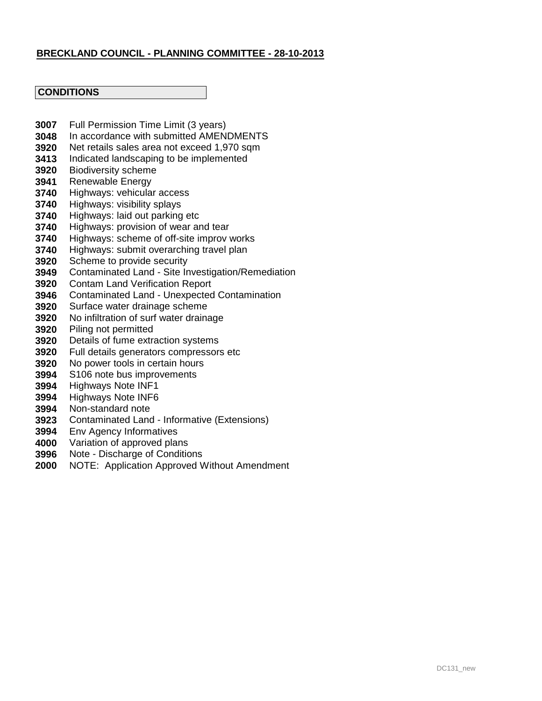# **CONDITIONS**

- **3007** Full Permission Time Limit (3 years)
- **3048** In accordance with submitted AMENDMENTS
- **3920** Net retails sales area not exceed 1,970 sqm
- **3413** Indicated landscaping to be implemented
- **3920** Biodiversity scheme
- **3941** Renewable Energy
- **3740** Highways: vehicular access
- **3740** Highways: visibility splays
- **3740** Highways: laid out parking etc
- **3740** Highways: provision of wear and tear
- **3740** Highways: scheme of off-site improv works
- **3740** Highways: submit overarching travel plan
- **3920** Scheme to provide security
- **3949** Contaminated Land - Site Investigation/Remediation
- **3920** Contam Land Verification Report
- **3946** Contaminated Land - Unexpected Contamination
- **3920** Surface water drainage scheme
- **3920** No infiltration of surf water drainage
- **3920** Piling not permitted
- **3920** Details of fume extraction systems
- **3920** Full details generators compressors etc
- **3920** No power tools in certain hours
- **3994** S106 note bus improvements
- **3994** Highways Note INF1
- **3994** Highways Note INF6
- **3994** Non-standard note
- **3923** Contaminated Land - Informative (Extensions)
- **3994** Env Agency Informatives
- **4000** Variation of approved plans
- **3996** Note - Discharge of Conditions
- **2000** NOTE: Application Approved Without Amendment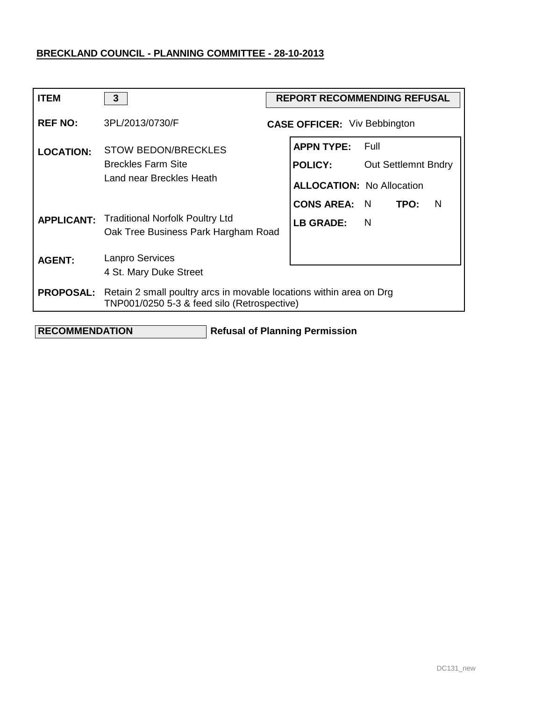| <b>ITEM</b>      | $\mathbf{3}$                                                                                                       | <b>REPORT RECOMMENDING REFUSAL</b> |                                                                         |                                    |   |  |
|------------------|--------------------------------------------------------------------------------------------------------------------|------------------------------------|-------------------------------------------------------------------------|------------------------------------|---|--|
| <b>REF NO:</b>   | 3PL/2013/0730/F                                                                                                    |                                    | <b>CASE OFFICER:</b> Viv Bebbington                                     |                                    |   |  |
| <b>LOCATION:</b> | <b>STOW BEDON/BRECKLES</b><br><b>Breckles Farm Site</b><br>Land near Breckles Heath                                |                                    | <b>APPN TYPE:</b><br><b>POLICY:</b><br><b>ALLOCATION: No Allocation</b> | Full<br><b>Out Settlemnt Bndry</b> |   |  |
|                  | <b>APPLICANT:</b> Traditional Norfolk Poultry Ltd<br>Oak Tree Business Park Hargham Road                           |                                    | <b>CONS AREA:</b><br><b>LB GRADE:</b>                                   | N<br>TPO:<br>N                     | N |  |
| <b>AGENT:</b>    | <b>Lanpro Services</b><br>4 St. Mary Duke Street                                                                   |                                    |                                                                         |                                    |   |  |
| <b>PROPOSAL:</b> | Retain 2 small poultry arcs in movable locations within area on Drg<br>TNP001/0250 5-3 & feed silo (Retrospective) |                                    |                                                                         |                                    |   |  |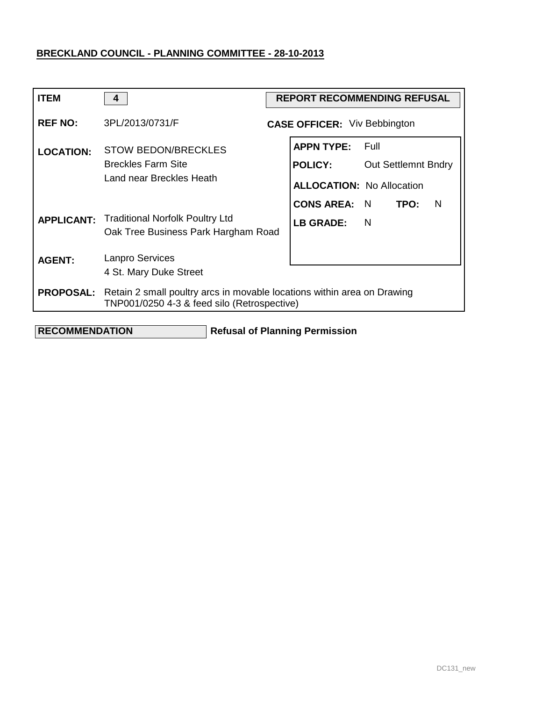| <b>ITEM</b>      | 4                                                                                                                      | <b>REPORT RECOMMENDING REFUSAL</b> |                                                                         |                                      |      |   |
|------------------|------------------------------------------------------------------------------------------------------------------------|------------------------------------|-------------------------------------------------------------------------|--------------------------------------|------|---|
| <b>REF NO:</b>   | 3PL/2013/0731/F                                                                                                        |                                    | <b>CASE OFFICER:</b> Viv Bebbington                                     |                                      |      |   |
| <b>LOCATION:</b> | <b>STOW BEDON/BRECKLES</b><br><b>Breckles Farm Site</b><br>Land near Breckles Heath                                    |                                    | <b>APPN TYPE:</b><br><b>POLICY:</b><br><b>ALLOCATION: No Allocation</b> | - Full<br><b>Out Settlemnt Bndry</b> |      |   |
|                  | <b>APPLICANT:</b> Traditional Norfolk Poultry Ltd<br>Oak Tree Business Park Hargham Road                               |                                    | <b>CONS AREA: N</b><br><b>LB GRADE:</b>                                 | N                                    | TPO: | N |
| <b>AGENT:</b>    | <b>Lanpro Services</b><br>4 St. Mary Duke Street                                                                       |                                    |                                                                         |                                      |      |   |
| <b>PROPOSAL:</b> | Retain 2 small poultry arcs in movable locations within area on Drawing<br>TNP001/0250 4-3 & feed silo (Retrospective) |                                    |                                                                         |                                      |      |   |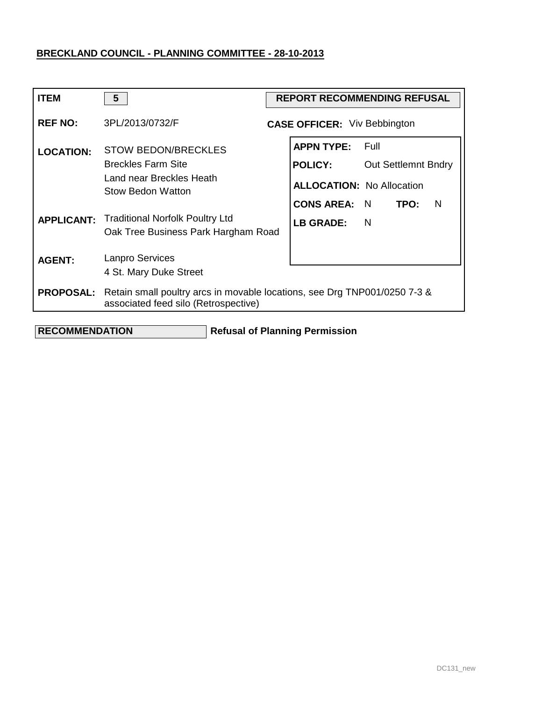| <b>REF NO:</b><br>3PL/2013/0732/F<br><b>CASE OFFICER:</b> Viv Bebbington<br><b>APPN TYPE:</b><br>Full<br><b>STOW BEDON/BRECKLES</b><br><b>LOCATION:</b><br><b>Breckles Farm Site</b><br><b>POLICY:</b><br><b>Out Settlemnt Bndry</b><br>Land near Breckles Heath<br><b>ALLOCATION: No Allocation</b><br><b>Stow Bedon Watton</b><br><b>CONS AREA: N</b><br>TPO:<br>N<br><b>Traditional Norfolk Poultry Ltd</b><br><b>APPLICANT:</b><br>LB GRADE:<br>- N<br>Oak Tree Business Park Hargham Road<br><b>Lanpro Services</b><br><b>AGENT:</b><br>4 St. Mary Duke Street<br><b>PROPOSAL:</b><br>Retain small poultry arcs in movable locations, see Drg TNP001/0250 7-3 &<br>associated feed silo (Retrospective) | <b>ITEM</b> | 5 | <b>REPORT RECOMMENDING REFUSAL</b> |  |  |
|--------------------------------------------------------------------------------------------------------------------------------------------------------------------------------------------------------------------------------------------------------------------------------------------------------------------------------------------------------------------------------------------------------------------------------------------------------------------------------------------------------------------------------------------------------------------------------------------------------------------------------------------------------------------------------------------------------------|-------------|---|------------------------------------|--|--|
|                                                                                                                                                                                                                                                                                                                                                                                                                                                                                                                                                                                                                                                                                                              |             |   |                                    |  |  |
|                                                                                                                                                                                                                                                                                                                                                                                                                                                                                                                                                                                                                                                                                                              |             |   |                                    |  |  |
|                                                                                                                                                                                                                                                                                                                                                                                                                                                                                                                                                                                                                                                                                                              |             |   |                                    |  |  |
|                                                                                                                                                                                                                                                                                                                                                                                                                                                                                                                                                                                                                                                                                                              |             |   |                                    |  |  |
|                                                                                                                                                                                                                                                                                                                                                                                                                                                                                                                                                                                                                                                                                                              |             |   |                                    |  |  |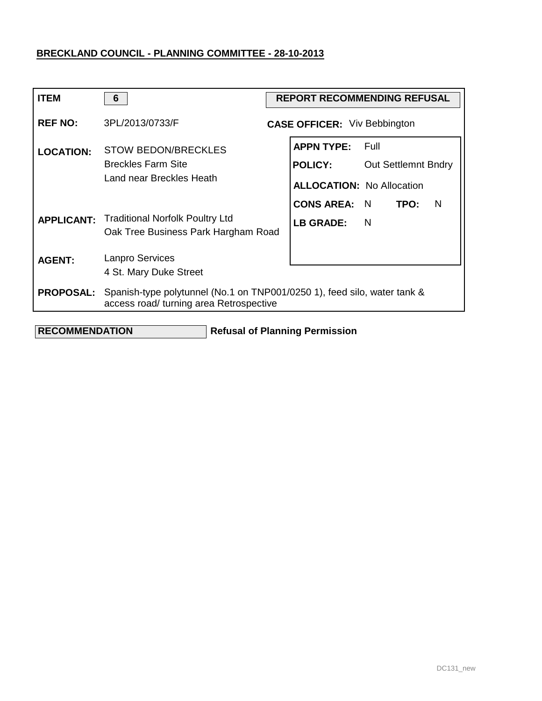| <b>ITEM</b>      | 6                                                                                        | <b>REPORT RECOMMENDING REFUSAL</b>                                                                            |
|------------------|------------------------------------------------------------------------------------------|---------------------------------------------------------------------------------------------------------------|
| <b>REF NO:</b>   | 3PL/2013/0733/F                                                                          | <b>CASE OFFICER:</b> Viv Bebbington                                                                           |
| <b>LOCATION:</b> | <b>STOW BEDON/BRECKLES</b><br><b>Breckles Farm Site</b><br>Land near Breckles Heath      | <b>APPN TYPE:</b><br>Full<br><b>POLICY:</b><br><b>Out Settlemnt Bndry</b><br><b>ALLOCATION: No Allocation</b> |
|                  | <b>APPLICANT:</b> Traditional Norfolk Poultry Ltd<br>Oak Tree Business Park Hargham Road | <b>CONS AREA: N</b><br>TPO:<br>N<br><b>LB GRADE:</b><br><sup>N</sup>                                          |
| <b>AGENT:</b>    | <b>Lanpro Services</b><br>4 St. Mary Duke Street                                         |                                                                                                               |
| <b>PROPOSAL:</b> | access road/ turning area Retrospective                                                  | Spanish-type polytunnel (No.1 on TNP001/0250 1), feed silo, water tank &                                      |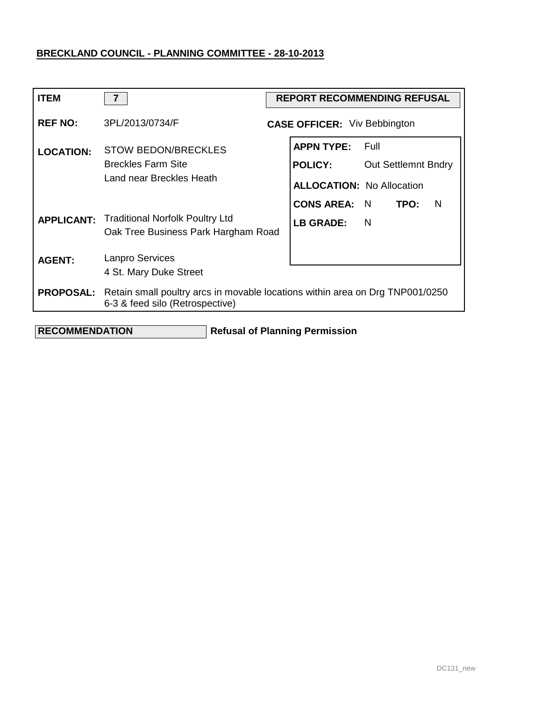| <b>ITEM</b>      | $\overline{7}$                                                                                                                    | <b>REPORT RECOMMENDING REFUSAL</b>                                      |                                    |      |   |
|------------------|-----------------------------------------------------------------------------------------------------------------------------------|-------------------------------------------------------------------------|------------------------------------|------|---|
| <b>REF NO:</b>   | 3PL/2013/0734/F                                                                                                                   | <b>CASE OFFICER:</b> Viv Bebbington                                     |                                    |      |   |
| <b>LOCATION:</b> | <b>STOW BEDON/BRECKLES</b><br><b>Breckles Farm Site</b><br>Land near Breckles Heath                                               | <b>APPN TYPE:</b><br><b>POLICY:</b><br><b>ALLOCATION: No Allocation</b> | Full<br><b>Out Settlemnt Bndry</b> |      |   |
|                  | <b>APPLICANT:</b> Traditional Norfolk Poultry Ltd<br>Oak Tree Business Park Hargham Road                                          | <b>CONS AREA:</b><br><b>LB GRADE:</b>                                   | N<br>N                             | TPO: | N |
| <b>AGENT:</b>    | <b>Lanpro Services</b><br>4 St. Mary Duke Street                                                                                  |                                                                         |                                    |      |   |
|                  | <b>PROPOSAL:</b> Retain small poultry arcs in movable locations within area on Drg TNP001/0250<br>6-3 & feed silo (Retrospective) |                                                                         |                                    |      |   |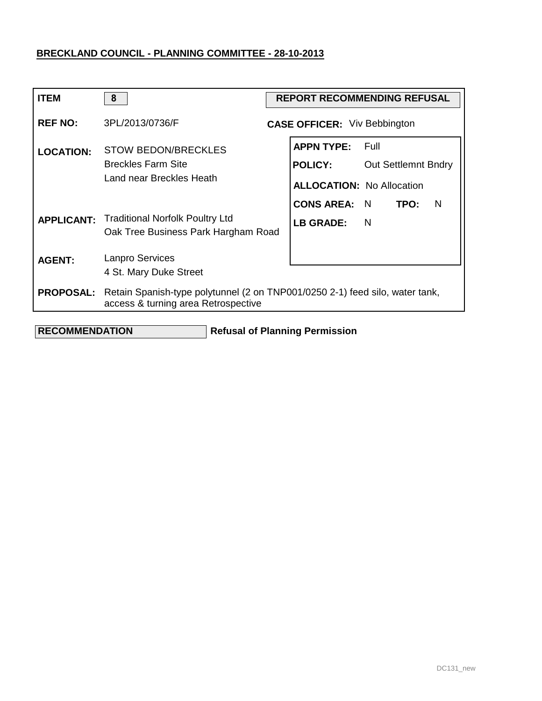| <b>ITEM</b>      | 8                                                                                                                   | <b>REPORT RECOMMENDING REFUSAL</b>                                      |                                      |      |   |
|------------------|---------------------------------------------------------------------------------------------------------------------|-------------------------------------------------------------------------|--------------------------------------|------|---|
| <b>REF NO:</b>   | 3PL/2013/0736/F                                                                                                     | <b>CASE OFFICER:</b> Viv Bebbington                                     |                                      |      |   |
| <b>LOCATION:</b> | <b>STOW BEDON/BRECKLES</b><br><b>Breckles Farm Site</b><br>Land near Breckles Heath                                 | <b>APPN TYPE:</b><br><b>POLICY:</b><br><b>ALLOCATION: No Allocation</b> | - Full<br><b>Out Settlemnt Bndry</b> |      |   |
|                  | <b>APPLICANT:</b> Traditional Norfolk Poultry Ltd<br>Oak Tree Business Park Hargham Road                            | <b>CONS AREA:</b><br><b>LB GRADE:</b>                                   | N<br>- N                             | TPO: | N |
| <b>AGENT:</b>    | <b>Lanpro Services</b><br>4 St. Mary Duke Street                                                                    |                                                                         |                                      |      |   |
| <b>PROPOSAL:</b> | Retain Spanish-type polytunnel (2 on TNP001/0250 2-1) feed silo, water tank,<br>access & turning area Retrospective |                                                                         |                                      |      |   |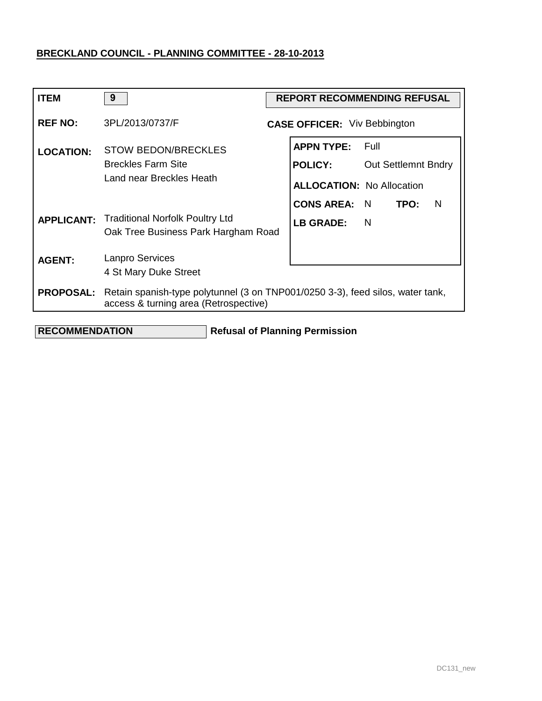| <b>ITEM</b>      | 9                                                                                                                       | <b>REPORT RECOMMENDING REFUSAL</b> |                                                                         |          |                            |   |
|------------------|-------------------------------------------------------------------------------------------------------------------------|------------------------------------|-------------------------------------------------------------------------|----------|----------------------------|---|
| <b>REF NO:</b>   | 3PL/2013/0737/F                                                                                                         |                                    | <b>CASE OFFICER:</b> Viv Bebbington                                     |          |                            |   |
| <b>LOCATION:</b> | <b>STOW BEDON/BRECKLES</b><br><b>Breckles Farm Site</b><br>Land near Breckles Heath                                     |                                    | <b>APPN TYPE:</b><br><b>POLICY:</b><br><b>ALLOCATION: No Allocation</b> | Full     | <b>Out Settlemnt Bndry</b> |   |
|                  | <b>APPLICANT:</b> Traditional Norfolk Poultry Ltd<br>Oak Tree Business Park Hargham Road                                |                                    | <b>CONS AREA: N</b><br><b>LB GRADE:</b>                                 | <b>N</b> | TPO:                       | N |
| <b>AGENT:</b>    | Lanpro Services<br>4 St Mary Duke Street                                                                                |                                    |                                                                         |          |                            |   |
| <b>PROPOSAL:</b> | Retain spanish-type polytunnel (3 on TNP001/0250 3-3), feed silos, water tank,<br>access & turning area (Retrospective) |                                    |                                                                         |          |                            |   |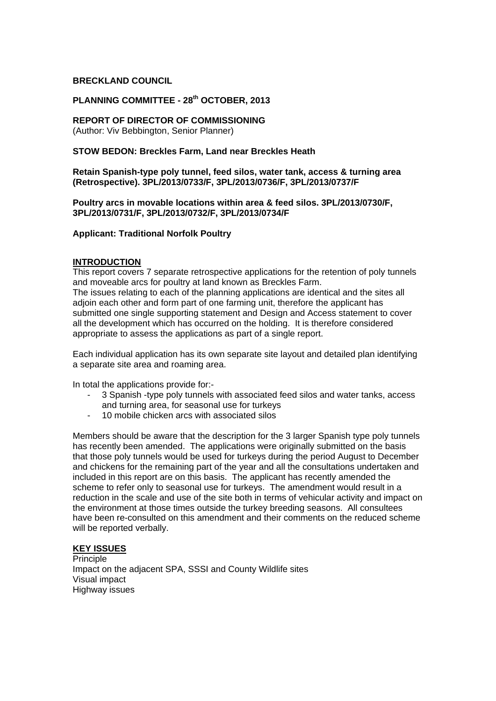### **BRECKLAND COUNCIL**

# **PLANNING COMMITTEE - 28th OCTOBER, 2013**

### **REPORT OF DIRECTOR OF COMMISSIONING**

(Author: Viv Bebbington, Senior Planner)

### **STOW BEDON: Breckles Farm, Land near Breckles Heath**

### **Retain Spanish-type poly tunnel, feed silos, water tank, access & turning area (Retrospective). 3PL/2013/0733/F, 3PL/2013/0736/F, 3PL/2013/0737/F**

### **Poultry arcs in movable locations within area & feed silos. 3PL/2013/0730/F, 3PL/2013/0731/F, 3PL/2013/0732/F, 3PL/2013/0734/F**

# **Applicant: Traditional Norfolk Poultry**

### **INTRODUCTION**

This report covers 7 separate retrospective applications for the retention of poly tunnels and moveable arcs for poultry at land known as Breckles Farm. The issues relating to each of the planning applications are identical and the sites all adjoin each other and form part of one farming unit, therefore the applicant has submitted one single supporting statement and Design and Access statement to cover all the development which has occurred on the holding. It is therefore considered appropriate to assess the applications as part of a single report.

Each individual application has its own separate site layout and detailed plan identifying a separate site area and roaming area.

In total the applications provide for:-

- 3 Spanish -type poly tunnels with associated feed silos and water tanks, access and turning area, for seasonal use for turkeys
- 10 mobile chicken arcs with associated silos

Members should be aware that the description for the 3 larger Spanish type poly tunnels has recently been amended. The applications were originally submitted on the basis that those poly tunnels would be used for turkeys during the period August to December and chickens for the remaining part of the year and all the consultations undertaken and included in this report are on this basis. The applicant has recently amended the scheme to refer only to seasonal use for turkeys. The amendment would result in a reduction in the scale and use of the site both in terms of vehicular activity and impact on the environment at those times outside the turkey breeding seasons. All consultees have been re-consulted on this amendment and their comments on the reduced scheme will be reported verbally.

### **KEY ISSUES**

Principle Impact on the adjacent SPA, SSSI and County Wildlife sites Visual impact Highway issues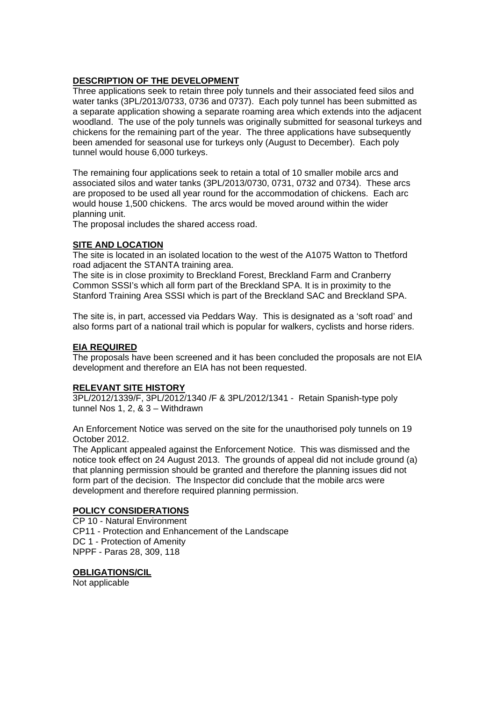# **DESCRIPTION OF THE DEVELOPMENT**

Three applications seek to retain three poly tunnels and their associated feed silos and water tanks (3PL/2013/0733, 0736 and 0737). Each poly tunnel has been submitted as a separate application showing a separate roaming area which extends into the adjacent woodland. The use of the poly tunnels was originally submitted for seasonal turkeys and chickens for the remaining part of the year. The three applications have subsequently been amended for seasonal use for turkeys only (August to December). Each poly tunnel would house 6,000 turkeys.

The remaining four applications seek to retain a total of 10 smaller mobile arcs and associated silos and water tanks (3PL/2013/0730, 0731, 0732 and 0734). These arcs are proposed to be used all year round for the accommodation of chickens. Each arc would house 1,500 chickens. The arcs would be moved around within the wider planning unit.

The proposal includes the shared access road.

### **SITE AND LOCATION**

The site is located in an isolated location to the west of the A1075 Watton to Thetford road adjacent the STANTA training area.

The site is in close proximity to Breckland Forest, Breckland Farm and Cranberry Common SSSI's which all form part of the Breckland SPA. It is in proximity to the Stanford Training Area SSSI which is part of the Breckland SAC and Breckland SPA.

The site is, in part, accessed via Peddars Way. This is designated as a 'soft road' and also forms part of a national trail which is popular for walkers, cyclists and horse riders.

# **EIA REQUIRED**

The proposals have been screened and it has been concluded the proposals are not EIA development and therefore an EIA has not been requested.

### **RELEVANT SITE HISTORY**

3PL/2012/1339/F, 3PL/2012/1340 /F & 3PL/2012/1341 - Retain Spanish-type poly tunnel Nos 1, 2, & 3 – Withdrawn

An Enforcement Notice was served on the site for the unauthorised poly tunnels on 19 October 2012.

The Applicant appealed against the Enforcement Notice. This was dismissed and the notice took effect on 24 August 2013. The grounds of appeal did not include ground (a) that planning permission should be granted and therefore the planning issues did not form part of the decision. The Inspector did conclude that the mobile arcs were development and therefore required planning permission.

### **POLICY CONSIDERATIONS**

CP 10 - Natural Environment CP11 - Protection and Enhancement of the Landscape DC 1 - Protection of Amenity NPPF - Paras 28, 309, 118

# **OBLIGATIONS/CIL**

Not applicable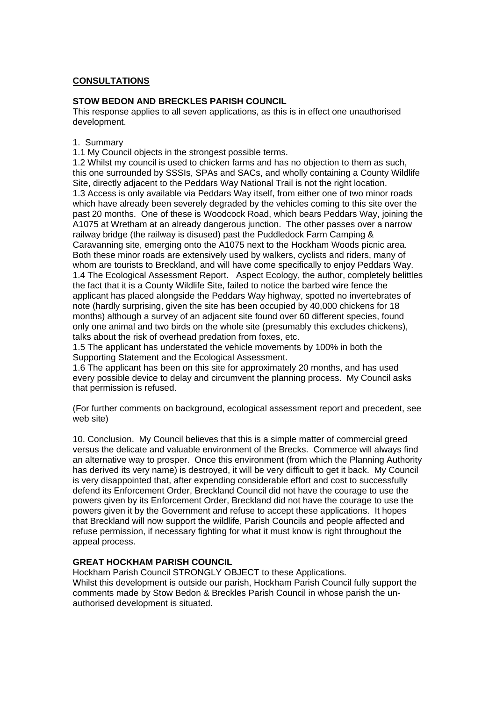# **CONSULTATIONS**

# **STOW BEDON AND BRECKLES PARISH COUNCIL**

This response applies to all seven applications, as this is in effect one unauthorised development.

1. Summary

1.1 My Council objects in the strongest possible terms.

1.2 Whilst my council is used to chicken farms and has no objection to them as such, this one surrounded by SSSIs, SPAs and SACs, and wholly containing a County Wildlife Site, directly adjacent to the Peddars Way National Trail is not the right location. 1.3 Access is only available via Peddars Way itself, from either one of two minor roads which have already been severely degraded by the vehicles coming to this site over the past 20 months. One of these is Woodcock Road, which bears Peddars Way, joining the A1075 at Wretham at an already dangerous junction. The other passes over a narrow railway bridge (the railway is disused) past the Puddledock Farm Camping & Caravanning site, emerging onto the A1075 next to the Hockham Woods picnic area. Both these minor roads are extensively used by walkers, cyclists and riders, many of whom are tourists to Breckland, and will have come specifically to enjoy Peddars Way. 1.4 The Ecological Assessment Report. Aspect Ecology, the author, completely belittles the fact that it is a County Wildlife Site, failed to notice the barbed wire fence the applicant has placed alongside the Peddars Way highway, spotted no invertebrates of note (hardly surprising, given the site has been occupied by 40,000 chickens for 18 months) although a survey of an adjacent site found over 60 different species, found only one animal and two birds on the whole site (presumably this excludes chickens), talks about the risk of overhead predation from foxes, etc.

1.5 The applicant has understated the vehicle movements by 100% in both the Supporting Statement and the Ecological Assessment.

1.6 The applicant has been on this site for approximately 20 months, and has used every possible device to delay and circumvent the planning process. My Council asks that permission is refused.

(For further comments on background, ecological assessment report and precedent, see web site)

10. Conclusion. My Council believes that this is a simple matter of commercial greed versus the delicate and valuable environment of the Brecks. Commerce will always find an alternative way to prosper. Once this environment (from which the Planning Authority has derived its very name) is destroyed, it will be very difficult to get it back. My Council is very disappointed that, after expending considerable effort and cost to successfully defend its Enforcement Order, Breckland Council did not have the courage to use the powers given by its Enforcement Order, Breckland did not have the courage to use the powers given it by the Government and refuse to accept these applications. It hopes that Breckland will now support the wildlife, Parish Councils and people affected and refuse permission, if necessary fighting for what it must know is right throughout the appeal process.

### **GREAT HOCKHAM PARISH COUNCIL**

Hockham Parish Council STRONGLY OBJECT to these Applications. Whilst this development is outside our parish, Hockham Parish Council fully support the comments made by Stow Bedon & Breckles Parish Council in whose parish the unauthorised development is situated.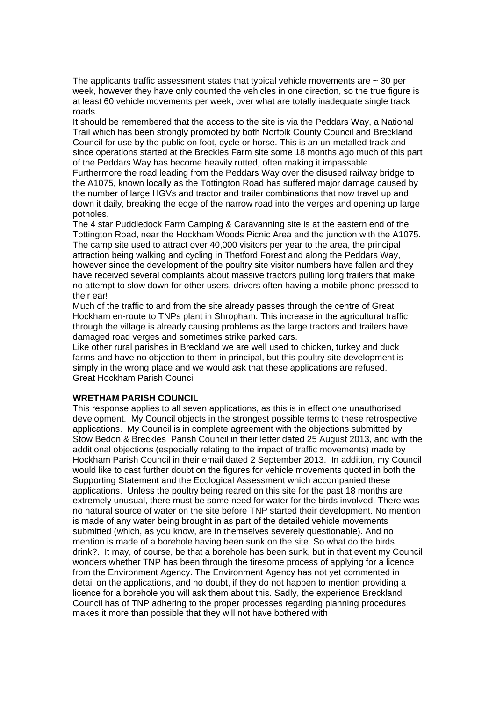The applicants traffic assessment states that typical vehicle movements are  $\sim$  30 per week, however they have only counted the vehicles in one direction, so the true figure is at least 60 vehicle movements per week, over what are totally inadequate single track roads.

It should be remembered that the access to the site is via the Peddars Way, a National Trail which has been strongly promoted by both Norfolk County Council and Breckland Council for use by the public on foot, cycle or horse. This is an un-metalled track and since operations started at the Breckles Farm site some 18 months ago much of this part of the Peddars Way has become heavily rutted, often making it impassable.

Furthermore the road leading from the Peddars Way over the disused railway bridge to the A1075, known locally as the Tottington Road has suffered major damage caused by the number of large HGVs and tractor and trailer combinations that now travel up and down it daily, breaking the edge of the narrow road into the verges and opening up large potholes.

The 4 star Puddledock Farm Camping & Caravanning site is at the eastern end of the Tottington Road, near the Hockham Woods Picnic Area and the junction with the A1075. The camp site used to attract over 40,000 visitors per year to the area, the principal attraction being walking and cycling in Thetford Forest and along the Peddars Way, however since the development of the poultry site visitor numbers have fallen and they have received several complaints about massive tractors pulling long trailers that make no attempt to slow down for other users, drivers often having a mobile phone pressed to their ear!

Much of the traffic to and from the site already passes through the centre of Great Hockham en-route to TNPs plant in Shropham. This increase in the agricultural traffic through the village is already causing problems as the large tractors and trailers have damaged road verges and sometimes strike parked cars.

Like other rural parishes in Breckland we are well used to chicken, turkey and duck farms and have no objection to them in principal, but this poultry site development is simply in the wrong place and we would ask that these applications are refused. Great Hockham Parish Council

### **WRETHAM PARISH COUNCIL**

This response applies to all seven applications, as this is in effect one unauthorised development. My Council objects in the strongest possible terms to these retrospective applications. My Council is in complete agreement with the objections submitted by Stow Bedon & Breckles Parish Council in their letter dated 25 August 2013, and with the additional objections (especially relating to the impact of traffic movements) made by Hockham Parish Council in their email dated 2 September 2013. In addition, my Council would like to cast further doubt on the figures for vehicle movements quoted in both the Supporting Statement and the Ecological Assessment which accompanied these applications. Unless the poultry being reared on this site for the past 18 months are extremely unusual, there must be some need for water for the birds involved. There was no natural source of water on the site before TNP started their development. No mention is made of any water being brought in as part of the detailed vehicle movements submitted (which, as you know, are in themselves severely questionable). And no mention is made of a borehole having been sunk on the site. So what do the birds drink?. It may, of course, be that a borehole has been sunk, but in that event my Council wonders whether TNP has been through the tiresome process of applying for a licence from the Environment Agency. The Environment Agency has not yet commented in detail on the applications, and no doubt, if they do not happen to mention providing a licence for a borehole you will ask them about this. Sadly, the experience Breckland Council has of TNP adhering to the proper processes regarding planning procedures makes it more than possible that they will not have bothered with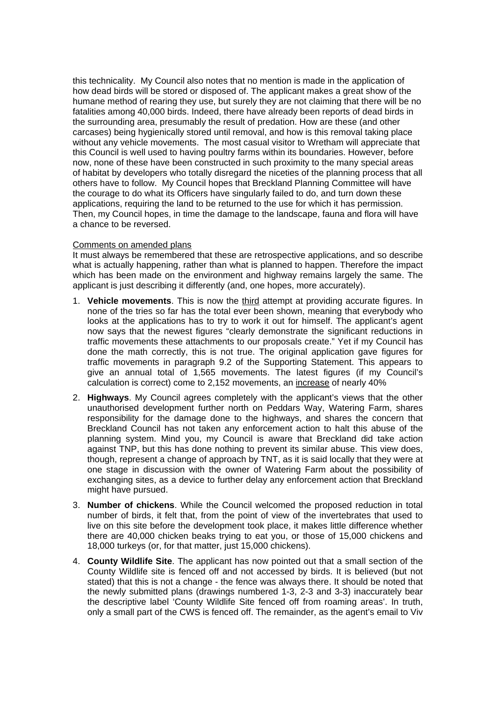this technicality. My Council also notes that no mention is made in the application of how dead birds will be stored or disposed of. The applicant makes a great show of the humane method of rearing they use, but surely they are not claiming that there will be no fatalities among 40,000 birds. Indeed, there have already been reports of dead birds in the surrounding area, presumably the result of predation. How are these (and other carcases) being hygienically stored until removal, and how is this removal taking place without any vehicle movements. The most casual visitor to Wretham will appreciate that this Council is well used to having poultry farms within its boundaries. However, before now, none of these have been constructed in such proximity to the many special areas of habitat by developers who totally disregard the niceties of the planning process that all others have to follow. My Council hopes that Breckland Planning Committee will have the courage to do what its Officers have singularly failed to do, and turn down these applications, requiring the land to be returned to the use for which it has permission. Then, my Council hopes, in time the damage to the landscape, fauna and flora will have a chance to be reversed.

### Comments on amended plans

It must always be remembered that these are retrospective applications, and so describe what is actually happening, rather than what is planned to happen. Therefore the impact which has been made on the environment and highway remains largely the same. The applicant is just describing it differently (and, one hopes, more accurately).

- 1. **Vehicle movements**. This is now the third attempt at providing accurate figures. In none of the tries so far has the total ever been shown, meaning that everybody who looks at the applications has to try to work it out for himself. The applicant's agent now says that the newest figures "clearly demonstrate the significant reductions in traffic movements these attachments to our proposals create." Yet if my Council has done the math correctly, this is not true. The original application gave figures for traffic movements in paragraph 9.2 of the Supporting Statement. This appears to give an annual total of 1,565 movements. The latest figures (if my Council's calculation is correct) come to 2,152 movements, an increase of nearly 40%
- 2. **Highways**. My Council agrees completely with the applicant's views that the other unauthorised development further north on Peddars Way, Watering Farm, shares responsibility for the damage done to the highways, and shares the concern that Breckland Council has not taken any enforcement action to halt this abuse of the planning system. Mind you, my Council is aware that Breckland did take action against TNP, but this has done nothing to prevent its similar abuse. This view does, though, represent a change of approach by TNT, as it is said locally that they were at one stage in discussion with the owner of Watering Farm about the possibility of exchanging sites, as a device to further delay any enforcement action that Breckland might have pursued.
- 3. **Number of chickens**. While the Council welcomed the proposed reduction in total number of birds, it felt that, from the point of view of the invertebrates that used to live on this site before the development took place, it makes little difference whether there are 40,000 chicken beaks trying to eat you, or those of 15,000 chickens and 18,000 turkeys (or, for that matter, just 15,000 chickens).
- 4. **County Wildlife Site**. The applicant has now pointed out that a small section of the County Wildlife site is fenced off and not accessed by birds. It is believed (but not stated) that this is not a change - the fence was always there. It should be noted that the newly submitted plans (drawings numbered 1-3, 2-3 and 3-3) inaccurately bear the descriptive label 'County Wildlife Site fenced off from roaming areas'. In truth, only a small part of the CWS is fenced off. The remainder, as the agent's email to Viv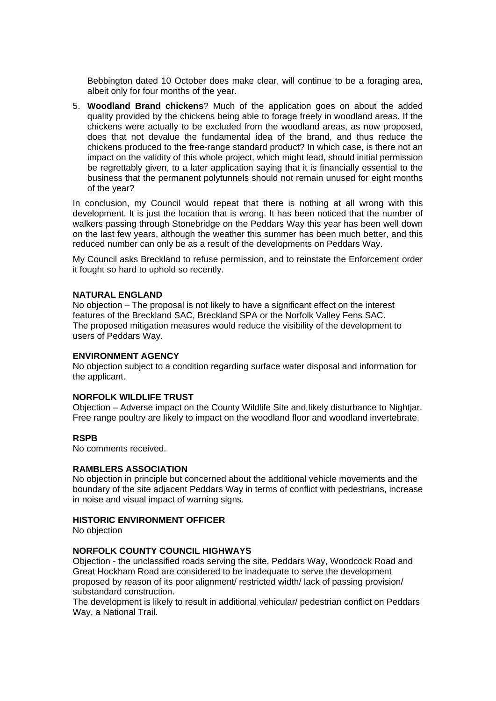Bebbington dated 10 October does make clear, will continue to be a foraging area, albeit only for four months of the year.

5. **Woodland Brand chickens**? Much of the application goes on about the added quality provided by the chickens being able to forage freely in woodland areas. If the chickens were actually to be excluded from the woodland areas, as now proposed, does that not devalue the fundamental idea of the brand, and thus reduce the chickens produced to the free-range standard product? In which case, is there not an impact on the validity of this whole project, which might lead, should initial permission be regrettably given, to a later application saying that it is financially essential to the business that the permanent polytunnels should not remain unused for eight months of the year?

In conclusion, my Council would repeat that there is nothing at all wrong with this development. It is just the location that is wrong. It has been noticed that the number of walkers passing through Stonebridge on the Peddars Way this year has been well down on the last few years, although the weather this summer has been much better, and this reduced number can only be as a result of the developments on Peddars Way.

My Council asks Breckland to refuse permission, and to reinstate the Enforcement order it fought so hard to uphold so recently.

#### **NATURAL ENGLAND**

No objection – The proposal is not likely to have a significant effect on the interest features of the Breckland SAC, Breckland SPA or the Norfolk Valley Fens SAC. The proposed mitigation measures would reduce the visibility of the development to users of Peddars Way.

#### **ENVIRONMENT AGENCY**

No objection subject to a condition regarding surface water disposal and information for the applicant.

#### **NORFOLK WILDLIFE TRUST**

Objection – Adverse impact on the County Wildlife Site and likely disturbance to Nightjar. Free range poultry are likely to impact on the woodland floor and woodland invertebrate.

#### **RSPB**

No comments received.

### **RAMBLERS ASSOCIATION**

No objection in principle but concerned about the additional vehicle movements and the boundary of the site adjacent Peddars Way in terms of conflict with pedestrians, increase in noise and visual impact of warning signs.

#### **HISTORIC ENVIRONMENT OFFICER**

No objection

### **NORFOLK COUNTY COUNCIL HIGHWAYS**

Objection - the unclassified roads serving the site, Peddars Way, Woodcock Road and Great Hockham Road are considered to be inadequate to serve the development proposed by reason of its poor alignment/ restricted width/ lack of passing provision/ substandard construction.

The development is likely to result in additional vehicular/ pedestrian conflict on Peddars Way, a National Trail.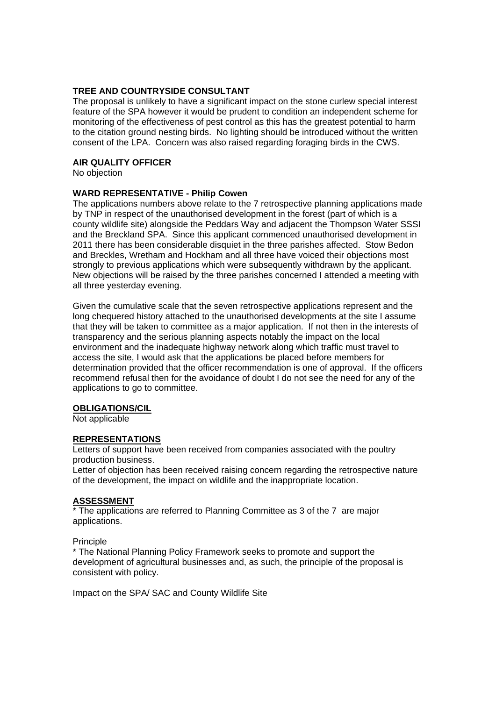### **TREE AND COUNTRYSIDE CONSULTANT**

The proposal is unlikely to have a significant impact on the stone curlew special interest feature of the SPA however it would be prudent to condition an independent scheme for monitoring of the effectiveness of pest control as this has the greatest potential to harm to the citation ground nesting birds. No lighting should be introduced without the written consent of the LPA. Concern was also raised regarding foraging birds in the CWS.

#### **AIR QUALITY OFFICER**

No objection

#### **WARD REPRESENTATIVE - Philip Cowen**

The applications numbers above relate to the 7 retrospective planning applications made by TNP in respect of the unauthorised development in the forest (part of which is a county wildlife site) alongside the Peddars Way and adjacent the Thompson Water SSSI and the Breckland SPA. Since this applicant commenced unauthorised development in 2011 there has been considerable disquiet in the three parishes affected. Stow Bedon and Breckles, Wretham and Hockham and all three have voiced their objections most strongly to previous applications which were subsequently withdrawn by the applicant. New objections will be raised by the three parishes concerned I attended a meeting with all three yesterday evening.

Given the cumulative scale that the seven retrospective applications represent and the long chequered history attached to the unauthorised developments at the site I assume that they will be taken to committee as a major application. If not then in the interests of transparency and the serious planning aspects notably the impact on the local environment and the inadequate highway network along which traffic must travel to access the site, I would ask that the applications be placed before members for determination provided that the officer recommendation is one of approval. If the officers recommend refusal then for the avoidance of doubt I do not see the need for any of the applications to go to committee.

#### **OBLIGATIONS/CIL**

Not applicable

### **REPRESENTATIONS**

Letters of support have been received from companies associated with the poultry production business.

Letter of objection has been received raising concern regarding the retrospective nature of the development, the impact on wildlife and the inappropriate location.

# **ASSESSMENT**

The applications are referred to Planning Committee as 3 of the 7 are major applications.

#### **Principle**

\* The National Planning Policy Framework seeks to promote and support the development of agricultural businesses and, as such, the principle of the proposal is consistent with policy.

Impact on the SPA/ SAC and County Wildlife Site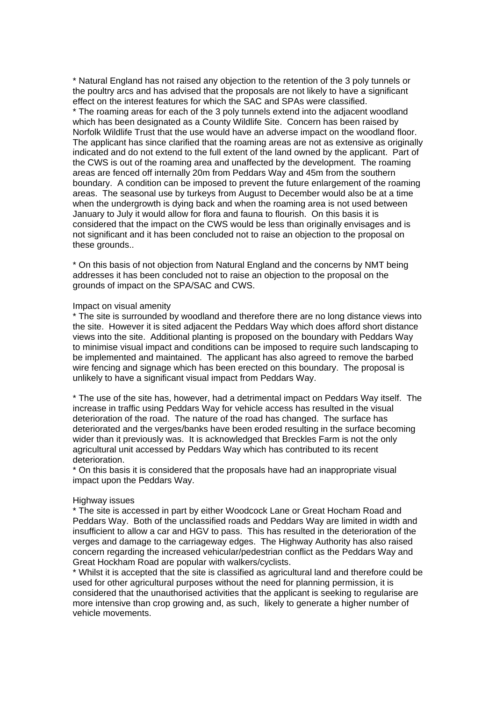\* Natural England has not raised any objection to the retention of the 3 poly tunnels or the poultry arcs and has advised that the proposals are not likely to have a significant effect on the interest features for which the SAC and SPAs were classified. \* The roaming areas for each of the 3 poly tunnels extend into the adjacent woodland which has been designated as a County Wildlife Site. Concern has been raised by Norfolk Wildlife Trust that the use would have an adverse impact on the woodland floor. The applicant has since clarified that the roaming areas are not as extensive as originally indicated and do not extend to the full extent of the land owned by the applicant. Part of the CWS is out of the roaming area and unaffected by the development. The roaming areas are fenced off internally 20m from Peddars Way and 45m from the southern boundary. A condition can be imposed to prevent the future enlargement of the roaming areas. The seasonal use by turkeys from August to December would also be at a time when the undergrowth is dying back and when the roaming area is not used between January to July it would allow for flora and fauna to flourish. On this basis it is considered that the impact on the CWS would be less than originally envisages and is not significant and it has been concluded not to raise an objection to the proposal on these grounds..

\* On this basis of not objection from Natural England and the concerns by NMT being addresses it has been concluded not to raise an objection to the proposal on the grounds of impact on the SPA/SAC and CWS.

#### Impact on visual amenity

\* The site is surrounded by woodland and therefore there are no long distance views into the site. However it is sited adjacent the Peddars Way which does afford short distance views into the site. Additional planting is proposed on the boundary with Peddars Way to minimise visual impact and conditions can be imposed to require such landscaping to be implemented and maintained. The applicant has also agreed to remove the barbed wire fencing and signage which has been erected on this boundary. The proposal is unlikely to have a significant visual impact from Peddars Way.

\* The use of the site has, however, had a detrimental impact on Peddars Way itself. The increase in traffic using Peddars Way for vehicle access has resulted in the visual deterioration of the road. The nature of the road has changed. The surface has deteriorated and the verges/banks have been eroded resulting in the surface becoming wider than it previously was. It is acknowledged that Breckles Farm is not the only agricultural unit accessed by Peddars Way which has contributed to its recent deterioration.

\* On this basis it is considered that the proposals have had an inappropriate visual impact upon the Peddars Way.

#### Highway issues

\* The site is accessed in part by either Woodcock Lane or Great Hocham Road and Peddars Way. Both of the unclassified roads and Peddars Way are limited in width and insufficient to allow a car and HGV to pass. This has resulted in the deterioration of the verges and damage to the carriageway edges. The Highway Authority has also raised concern regarding the increased vehicular/pedestrian conflict as the Peddars Way and Great Hockham Road are popular with walkers/cyclists.

\* Whilst it is accepted that the site is classified as agricultural land and therefore could be used for other agricultural purposes without the need for planning permission, it is considered that the unauthorised activities that the applicant is seeking to regularise are more intensive than crop growing and, as such, likely to generate a higher number of vehicle movements.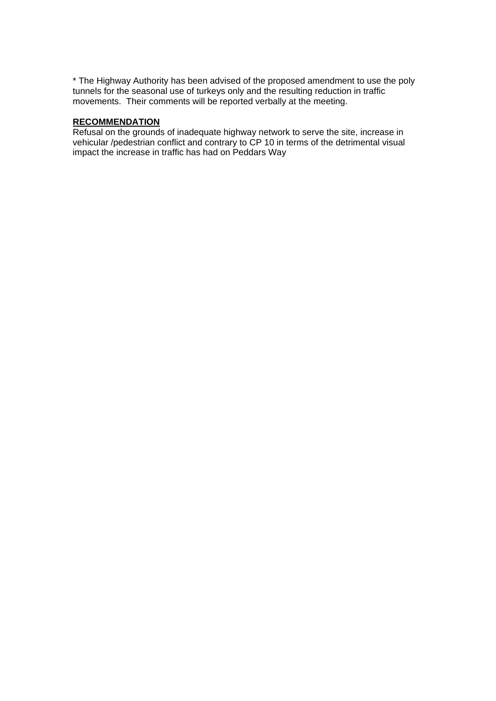\* The Highway Authority has been advised of the proposed amendment to use the poly tunnels for the seasonal use of turkeys only and the resulting reduction in traffic movements. Their comments will be reported verbally at the meeting.

# **RECOMMENDATION**

Refusal on the grounds of inadequate highway network to serve the site, increase in vehicular /pedestrian conflict and contrary to CP 10 in terms of the detrimental visual impact the increase in traffic has had on Peddars Way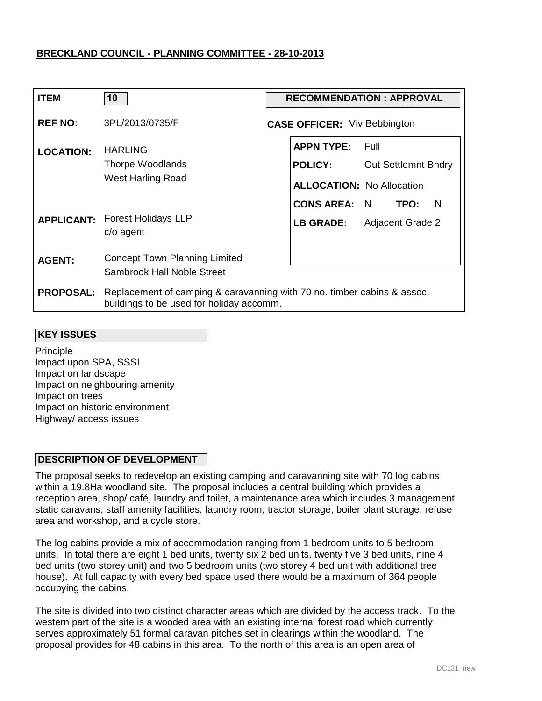| <b>ITEM</b>      | 10                                                                                                                  |  | <b>RECOMMENDATION: APPROVAL</b>     |                            |      |   |
|------------------|---------------------------------------------------------------------------------------------------------------------|--|-------------------------------------|----------------------------|------|---|
| <b>REF NO:</b>   | 3PL/2013/0735/F                                                                                                     |  | <b>CASE OFFICER:</b> Viv Bebbington |                            |      |   |
| <b>LOCATION:</b> | <b>HARLING</b>                                                                                                      |  | <b>APPN TYPE:</b>                   | - Full                     |      |   |
|                  | Thorpe Woodlands<br><b>West Harling Road</b>                                                                        |  | <b>POLICY:</b>                      | <b>Out Settlemnt Bndry</b> |      |   |
|                  |                                                                                                                     |  | <b>ALLOCATION: No Allocation</b>    |                            |      |   |
|                  |                                                                                                                     |  | <b>CONS AREA:</b>                   | N.                         | TPO: | N |
|                  | <b>APPLICANT: Forest Holidays LLP</b><br>c/o agent                                                                  |  | LB GRADE: Adjacent Grade 2          |                            |      |   |
| <b>AGENT:</b>    | <b>Concept Town Planning Limited</b>                                                                                |  |                                     |                            |      |   |
|                  | Sambrook Hall Noble Street                                                                                          |  |                                     |                            |      |   |
| <b>PROPOSAL:</b> | Replacement of camping & caravanning with 70 no. timber cabins & assoc.<br>buildings to be used for holiday accomm. |  |                                     |                            |      |   |

#### **KEY ISSUES**

Principle Impact upon SPA, SSSI Impact on landscape Impact on neighbouring amenity Impact on trees Impact on historic environment Highway/ access issues

### **DESCRIPTION OF DEVELOPMENT**

The proposal seeks to redevelop an existing camping and caravanning site with 70 log cabins within a 19.8Ha woodland site. The proposal includes a central building which provides a reception area, shop/ café, laundry and toilet, a maintenance area which includes 3 management static caravans, staff amenity facilities, laundry room, tractor storage, boiler plant storage, refuse area and workshop, and a cycle store.

The log cabins provide a mix of accommodation ranging from 1 bedroom units to 5 bedroom units. In total there are eight 1 bed units, twenty six 2 bed units, twenty five 3 bed units, nine 4 bed units (two storey unit) and two 5 bedroom units (two storey 4 bed unit with additional tree house). At full capacity with every bed space used there would be a maximum of 364 people occupying the cabins.

The site is divided into two distinct character areas which are divided by the access track. To the western part of the site is a wooded area with an existing internal forest road which currently serves approximately 51 formal caravan pitches set in clearings within the woodland. The proposal provides for 48 cabins in this area. To the north of this area is an open area of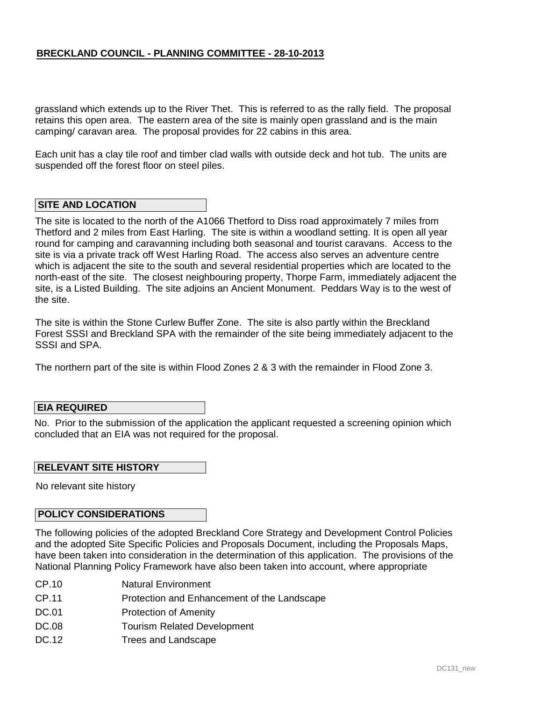grassland which extends up to the River Thet. This is referred to as the rally field. The proposal retains this open area. The eastern area of the site is mainly open grassland and is the main camping/ caravan area. The proposal provides for 22 cabins in this area.

Each unit has a clay tile roof and timber clad walls with outside deck and hot tub. The units are suspended off the forest floor on steel piles.

#### **SITE AND LOCATION**

The site is located to the north of the A1066 Thetford to Diss road approximately 7 miles from Thetford and 2 miles from East Harling. The site is within a woodland setting. It is open all year round for camping and caravanning including both seasonal and tourist caravans. Access to the site is via a private track off West Harling Road. The access also serves an adventure centre which is adjacent the site to the south and several residential properties which are located to the north-east of the site. The closest neighbouring property, Thorpe Farm, immediately adjacent the site, is a Listed Building. The site adjoins an Ancient Monument. Peddars Way is to the west of the site.

The site is within the Stone Curlew Buffer Zone. The site is also partly within the Breckland Forest SSSI and Breckland SPA with the remainder of the site being immediately adjacent to the SSSI and SPA.

The northern part of the site is within Flood Zones 2 & 3 with the remainder in Flood Zone 3.

#### **EIA REQUIRED**

No. Prior to the submission of the application the applicant requested a screening opinion which concluded that an EIA was not required for the proposal.

#### **RELEVANT SITE HISTORY**

No relevant site history

#### **POLICY CONSIDERATIONS**

The following policies of the adopted Breckland Core Strategy and Development Control Policies and the adopted Site Specific Policies and Proposals Document, including the Proposals Maps, have been taken into consideration in the determination of this application. The provisions of the National Planning Policy Framework have also been taken into account, where appropriate

- CP.10 Natural Environment
- CP.11 Protection and Enhancement of the Landscape
- DC.01 Protection of Amenity
- DC.08 Tourism Related Development
- DC.12 Trees and Landscape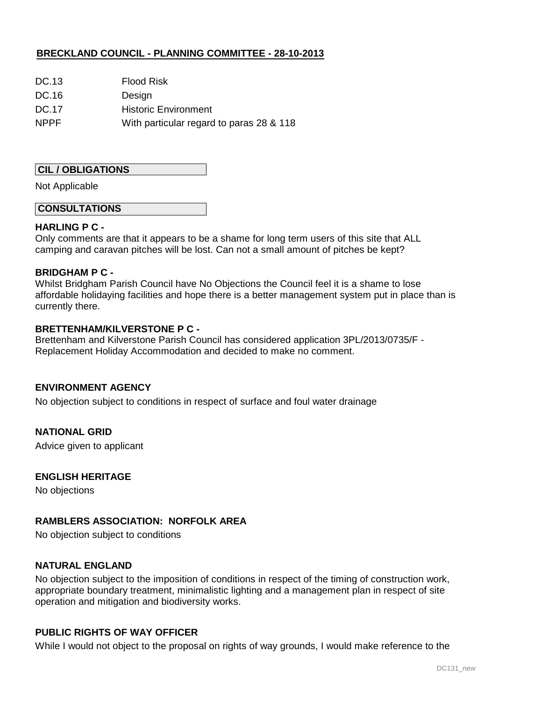| DC.13       | <b>Flood Risk</b>                        |
|-------------|------------------------------------------|
| DC.16       | Design                                   |
| DC.17       | <b>Historic Environment</b>              |
| <b>NPPF</b> | With particular regard to paras 28 & 118 |

# **CIL / OBLIGATIONS**

Not Applicable

### **CONSULTATIONS**

### **HARLING P C -**

Only comments are that it appears to be a shame for long term users of this site that ALL camping and caravan pitches will be lost. Can not a small amount of pitches be kept?

#### **BRIDGHAM P C -**

Whilst Bridgham Parish Council have No Objections the Council feel it is a shame to lose affordable holidaying facilities and hope there is a better management system put in place than is currently there.

#### **BRETTENHAM/KILVERSTONE P C -**

Brettenham and Kilverstone Parish Council has considered application 3PL/2013/0735/F - Replacement Holiday Accommodation and decided to make no comment.

### **ENVIRONMENT AGENCY**

No objection subject to conditions in respect of surface and foul water drainage

### **NATIONAL GRID**

Advice given to applicant

#### **ENGLISH HERITAGE**

No objections

### **RAMBLERS ASSOCIATION: NORFOLK AREA**

No objection subject to conditions

# **NATURAL ENGLAND**

No objection subject to the imposition of conditions in respect of the timing of construction work, appropriate boundary treatment, minimalistic lighting and a management plan in respect of site operation and mitigation and biodiversity works.

### **PUBLIC RIGHTS OF WAY OFFICER**

While I would not object to the proposal on rights of way grounds, I would make reference to the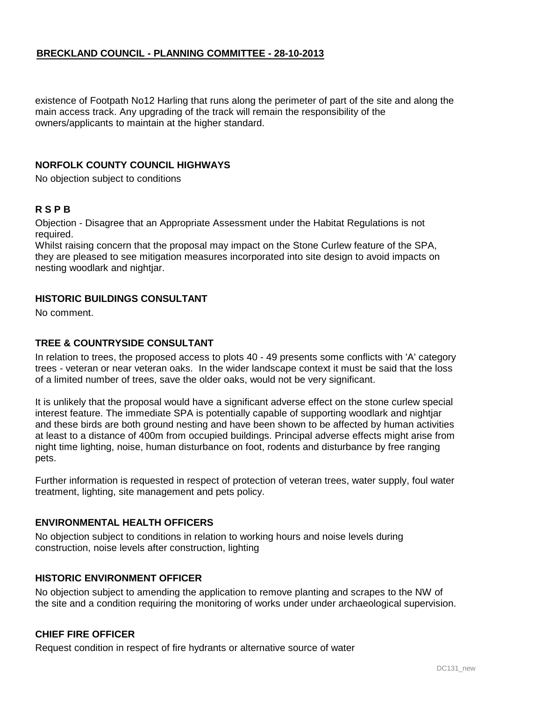existence of Footpath No12 Harling that runs along the perimeter of part of the site and along the main access track. Any upgrading of the track will remain the responsibility of the owners/applicants to maintain at the higher standard.

# **NORFOLK COUNTY COUNCIL HIGHWAYS**

No objection subject to conditions

# **R S P B**

Objection - Disagree that an Appropriate Assessment under the Habitat Regulations is not required.

Whilst raising concern that the proposal may impact on the Stone Curlew feature of the SPA, they are pleased to see mitigation measures incorporated into site design to avoid impacts on nesting woodlark and nightjar.

### **HISTORIC BUILDINGS CONSULTANT**

No comment.

### **TREE & COUNTRYSIDE CONSULTANT**

In relation to trees, the proposed access to plots 40 - 49 presents some conflicts with 'A' category trees - veteran or near veteran oaks. In the wider landscape context it must be said that the loss of a limited number of trees, save the older oaks, would not be very significant.

It is unlikely that the proposal would have a significant adverse effect on the stone curlew special interest feature. The immediate SPA is potentially capable of supporting woodlark and nightjar and these birds are both ground nesting and have been shown to be affected by human activities at least to a distance of 400m from occupied buildings. Principal adverse effects might arise from night time lighting, noise, human disturbance on foot, rodents and disturbance by free ranging pets.

Further information is requested in respect of protection of veteran trees, water supply, foul water treatment, lighting, site management and pets policy.

### **ENVIRONMENTAL HEALTH OFFICERS**

No objection subject to conditions in relation to working hours and noise levels during construction, noise levels after construction, lighting

### **HISTORIC ENVIRONMENT OFFICER**

No objection subject to amending the application to remove planting and scrapes to the NW of the site and a condition requiring the monitoring of works under under archaeological supervision.

### **CHIEF FIRE OFFICER**

Request condition in respect of fire hydrants or alternative source of water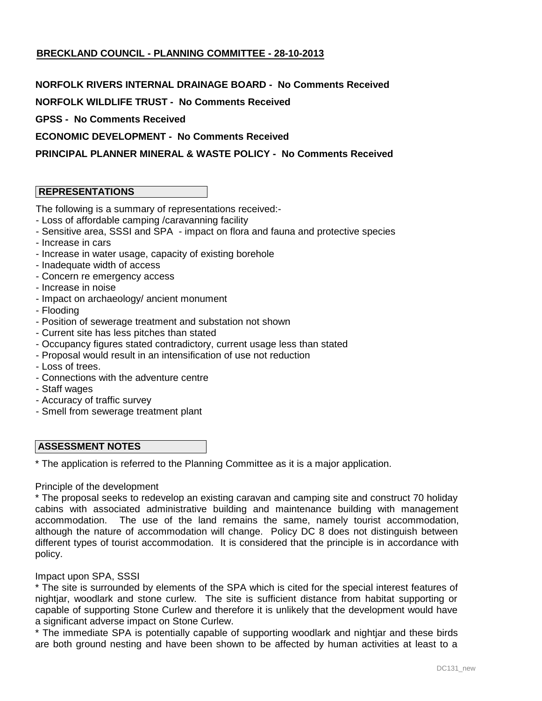### **NORFOLK RIVERS INTERNAL DRAINAGE BOARD - No Comments Received**

**NORFOLK WILDLIFE TRUST - No Comments Received** 

**GPSS - No Comments Received** 

**ECONOMIC DEVELOPMENT - No Comments Received** 

# **PRINCIPAL PLANNER MINERAL & WASTE POLICY - No Comments Received**

# **REPRESENTATIONS**

The following is a summary of representations received:-

- Loss of affordable camping /caravanning facility
- Sensitive area, SSSI and SPA impact on flora and fauna and protective species
- Increase in cars
- Increase in water usage, capacity of existing borehole
- Inadequate width of access
- Concern re emergency access
- Increase in noise
- Impact on archaeology/ ancient monument
- Flooding
- Position of sewerage treatment and substation not shown
- Current site has less pitches than stated
- Occupancy figures stated contradictory, current usage less than stated
- Proposal would result in an intensification of use not reduction
- Loss of trees.
- Connections with the adventure centre
- Staff wages
- Accuracy of traffic survey
- Smell from sewerage treatment plant

### **ASSESSMENT NOTES**

\* The application is referred to the Planning Committee as it is a major application.

#### Principle of the development

\* The proposal seeks to redevelop an existing caravan and camping site and construct 70 holiday cabins with associated administrative building and maintenance building with management accommodation. The use of the land remains the same, namely tourist accommodation, although the nature of accommodation will change. Policy DC 8 does not distinguish between different types of tourist accommodation. It is considered that the principle is in accordance with policy.

#### Impact upon SPA, SSSI

\* The site is surrounded by elements of the SPA which is cited for the special interest features of nightjar, woodlark and stone curlew. The site is sufficient distance from habitat supporting or capable of supporting Stone Curlew and therefore it is unlikely that the development would have a significant adverse impact on Stone Curlew.

\* The immediate SPA is potentially capable of supporting woodlark and nightjar and these birds are both ground nesting and have been shown to be affected by human activities at least to a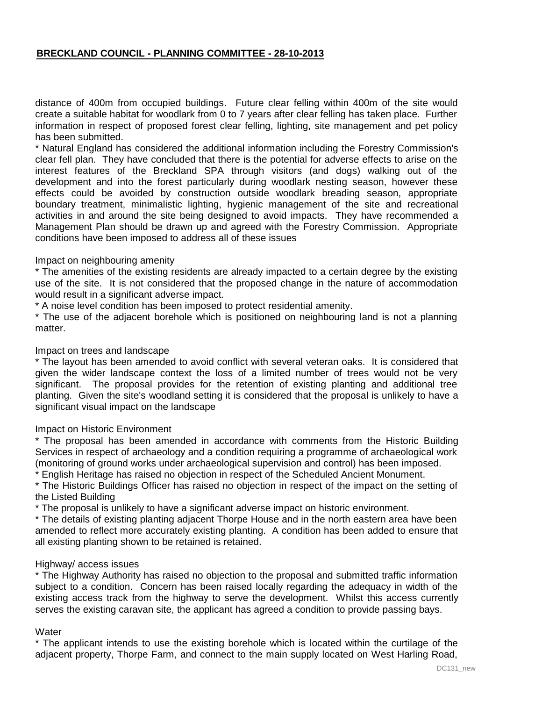distance of 400m from occupied buildings. Future clear felling within 400m of the site would create a suitable habitat for woodlark from 0 to 7 years after clear felling has taken place. Further information in respect of proposed forest clear felling, lighting, site management and pet policy has been submitted.

\* Natural England has considered the additional information including the Forestry Commission's clear fell plan. They have concluded that there is the potential for adverse effects to arise on the interest features of the Breckland SPA through visitors (and dogs) walking out of the development and into the forest particularly during woodlark nesting season, however these effects could be avoided by construction outside woodlark breading season, appropriate boundary treatment, minimalistic lighting, hygienic management of the site and recreational activities in and around the site being designed to avoid impacts. They have recommended a Management Plan should be drawn up and agreed with the Forestry Commission. Appropriate conditions have been imposed to address all of these issues

#### Impact on neighbouring amenity

\* The amenities of the existing residents are already impacted to a certain degree by the existing use of the site. It is not considered that the proposed change in the nature of accommodation would result in a significant adverse impact.

\* A noise level condition has been imposed to protect residential amenity.

\* The use of the adjacent borehole which is positioned on neighbouring land is not a planning matter.

#### Impact on trees and landscape

\* The layout has been amended to avoid conflict with several veteran oaks. It is considered that given the wider landscape context the loss of a limited number of trees would not be very significant. The proposal provides for the retention of existing planting and additional tree planting. Given the site's woodland setting it is considered that the proposal is unlikely to have a significant visual impact on the landscape

#### Impact on Historic Environment

\* The proposal has been amended in accordance with comments from the Historic Building Services in respect of archaeology and a condition requiring a programme of archaeological work (monitoring of ground works under archaeological supervision and control) has been imposed.

\* English Heritage has raised no objection in respect of the Scheduled Ancient Monument.

\* The Historic Buildings Officer has raised no objection in respect of the impact on the setting of the Listed Building

\* The proposal is unlikely to have a significant adverse impact on historic environment.

\* The details of existing planting adjacent Thorpe House and in the north eastern area have been amended to reflect more accurately existing planting. A condition has been added to ensure that all existing planting shown to be retained is retained.

#### Highway/ access issues

\* The Highway Authority has raised no objection to the proposal and submitted traffic information subject to a condition. Concern has been raised locally regarding the adequacy in width of the existing access track from the highway to serve the development. Whilst this access currently serves the existing caravan site, the applicant has agreed a condition to provide passing bays.

#### **Water**

\* The applicant intends to use the existing borehole which is located within the curtilage of the adjacent property, Thorpe Farm, and connect to the main supply located on West Harling Road,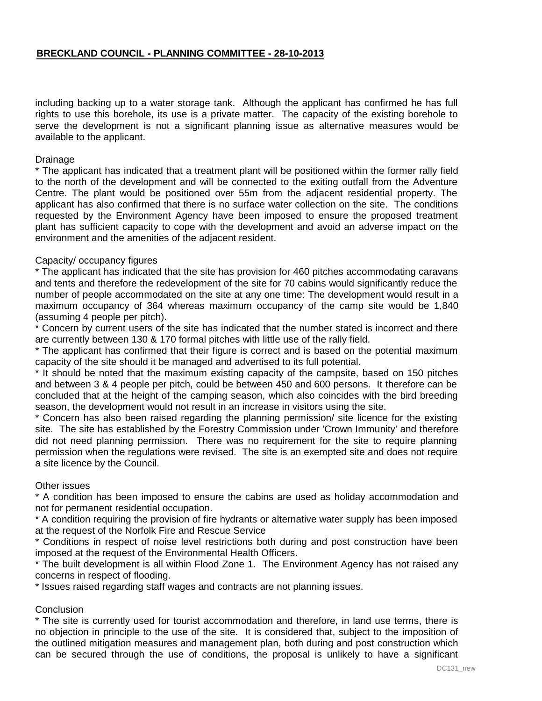including backing up to a water storage tank. Although the applicant has confirmed he has full rights to use this borehole, its use is a private matter. The capacity of the existing borehole to serve the development is not a significant planning issue as alternative measures would be available to the applicant.

### **Drainage**

\* The applicant has indicated that a treatment plant will be positioned within the former rally field to the north of the development and will be connected to the exiting outfall from the Adventure Centre. The plant would be positioned over 55m from the adjacent residential property. The applicant has also confirmed that there is no surface water collection on the site. The conditions requested by the Environment Agency have been imposed to ensure the proposed treatment plant has sufficient capacity to cope with the development and avoid an adverse impact on the environment and the amenities of the adjacent resident.

# Capacity/ occupancy figures

\* The applicant has indicated that the site has provision for 460 pitches accommodating caravans and tents and therefore the redevelopment of the site for 70 cabins would significantly reduce the number of people accommodated on the site at any one time: The development would result in a maximum occupancy of 364 whereas maximum occupancy of the camp site would be 1,840 (assuming 4 people per pitch).

\* Concern by current users of the site has indicated that the number stated is incorrect and there are currently between 130 & 170 formal pitches with little use of the rally field.

\* The applicant has confirmed that their figure is correct and is based on the potential maximum capacity of the site should it be managed and advertised to its full potential.

\* It should be noted that the maximum existing capacity of the campsite, based on 150 pitches and between 3 & 4 people per pitch, could be between 450 and 600 persons. It therefore can be concluded that at the height of the camping season, which also coincides with the bird breeding season, the development would not result in an increase in visitors using the site.

\* Concern has also been raised regarding the planning permission/ site licence for the existing site. The site has established by the Forestry Commission under 'Crown Immunity' and therefore did not need planning permission. There was no requirement for the site to require planning permission when the regulations were revised. The site is an exempted site and does not require a site licence by the Council.

### Other issues

\* A condition has been imposed to ensure the cabins are used as holiday accommodation and not for permanent residential occupation.

\* A condition requiring the provision of fire hydrants or alternative water supply has been imposed at the request of the Norfolk Fire and Rescue Service

\* Conditions in respect of noise level restrictions both during and post construction have been imposed at the request of the Environmental Health Officers.

\* The built development is all within Flood Zone 1. The Environment Agency has not raised any concerns in respect of flooding.

\* Issues raised regarding staff wages and contracts are not planning issues.

### **Conclusion**

\* The site is currently used for tourist accommodation and therefore, in land use terms, there is no objection in principle to the use of the site. It is considered that, subject to the imposition of the outlined mitigation measures and management plan, both during and post construction which can be secured through the use of conditions, the proposal is unlikely to have a significant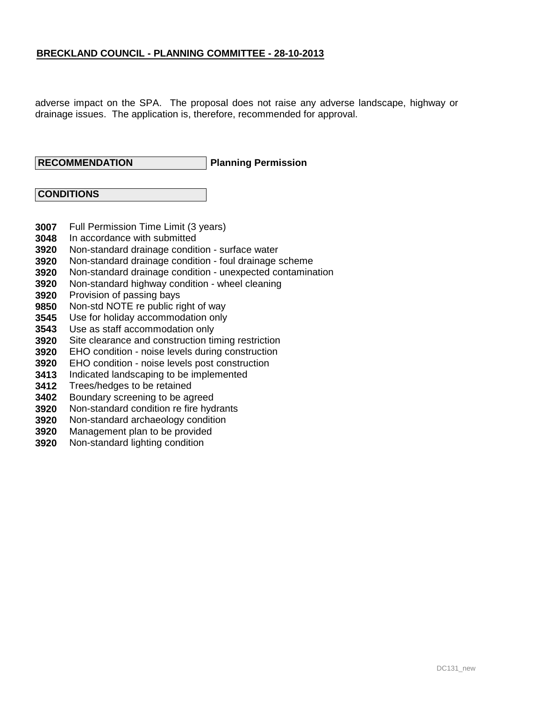adverse impact on the SPA. The proposal does not raise any adverse landscape, highway or drainage issues. The application is, therefore, recommended for approval.

# **RECOMMENDATION**

#### **Planning Permission**

### **CONDITIONS**

- **3007** Full Permission Time Limit (3 years)
- **3048** In accordance with submitted
- **3920** Non-standard drainage condition - surface water
- **3920** Non-standard drainage condition - foul drainage scheme
- **3920** Non-standard drainage condition - unexpected contamination
- **3920** Non-standard highway condition - wheel cleaning
- **3920** Provision of passing bays
- **9850** Non-std NOTE re public right of way
- **3545** Use for holiday accommodation only
- **3543** Use as staff accommodation only
- **3920** Site clearance and construction timing restriction
- **3920** EHO condition - noise levels during construction
- **3920** EHO condition - noise levels post construction
- **3413** Indicated landscaping to be implemented
- **3412** Trees/hedges to be retained
- **3402** Boundary screening to be agreed
- **3920** Non-standard condition re fire hydrants
- **3920** Non-standard archaeology condition
- **3920** Management plan to be provided
- **3920** Non-standard lighting condition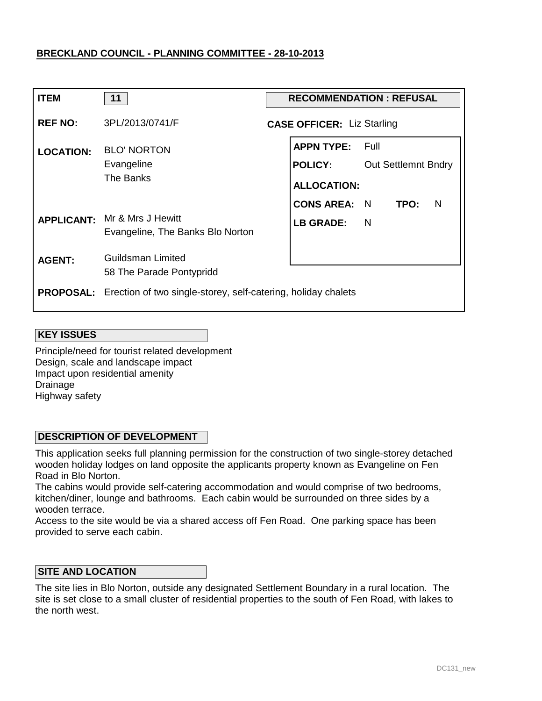| <b>ITEM</b>      | 11                                                                             | <b>RECOMMENDATION: REFUSAL</b> |                                                           |                                      |  |
|------------------|--------------------------------------------------------------------------------|--------------------------------|-----------------------------------------------------------|--------------------------------------|--|
| <b>REF NO:</b>   | 3PL/2013/0741/F                                                                |                                | <b>CASE OFFICER: Liz Starling</b>                         |                                      |  |
| <b>LOCATION:</b> | <b>BLO' NORTON</b><br>Evangeline<br>The Banks                                  |                                | <b>APPN TYPE:</b><br><b>POLICY:</b><br><b>ALLOCATION:</b> | – Full<br><b>Out Settlemnt Bndry</b> |  |
|                  | <b>APPLICANT:</b> Mr & Mrs J Hewitt<br>Evangeline, The Banks Blo Norton        |                                | <b>CONS AREA: N</b><br><b>LB GRADE:</b>                   | TPO:<br>N<br><sup>N</sup>            |  |
| <b>AGENT:</b>    | Guildsman Limited<br>58 The Parade Pontypridd                                  |                                |                                                           |                                      |  |
|                  | <b>PROPOSAL:</b> Erection of two single-storey, self-catering, holiday chalets |                                |                                                           |                                      |  |

### **KEY ISSUES**

Principle/need for tourist related development Design, scale and landscape impact Impact upon residential amenity Drainage Highway safety

### **DESCRIPTION OF DEVELOPMENT**

This application seeks full planning permission for the construction of two single-storey detached wooden holiday lodges on land opposite the applicants property known as Evangeline on Fen Road in Blo Norton.

The cabins would provide self-catering accommodation and would comprise of two bedrooms, kitchen/diner, lounge and bathrooms. Each cabin would be surrounded on three sides by a wooden terrace.

Access to the site would be via a shared access off Fen Road. One parking space has been provided to serve each cabin.

# **SITE AND LOCATION**

The site lies in Blo Norton, outside any designated Settlement Boundary in a rural location. The site is set close to a small cluster of residential properties to the south of Fen Road, with lakes to the north west.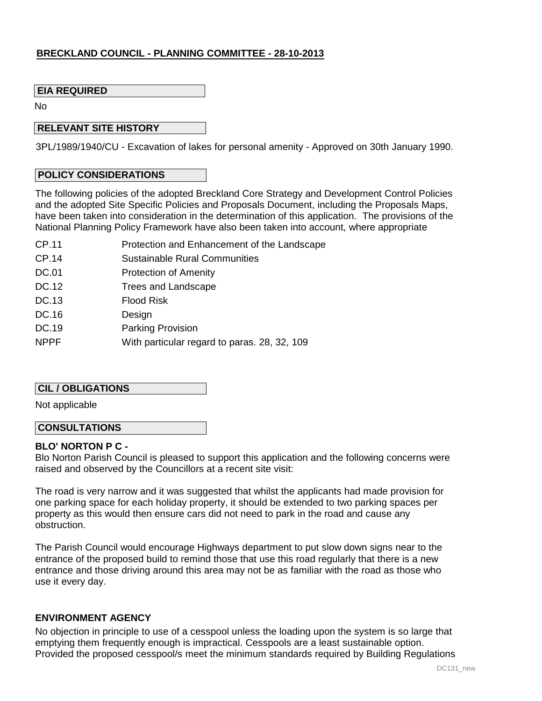### **EIA REQUIRED**

No

### **RELEVANT SITE HISTORY**

3PL/1989/1940/CU - Excavation of lakes for personal amenity - Approved on 30th January 1990.

#### **POLICY CONSIDERATIONS**

The following policies of the adopted Breckland Core Strategy and Development Control Policies and the adopted Site Specific Policies and Proposals Document, including the Proposals Maps, have been taken into consideration in the determination of this application. The provisions of the National Planning Policy Framework have also been taken into account, where appropriate

- CP.11 Protection and Enhancement of the Landscape
- CP.14 Sustainable Rural Communities
- DC.01 Protection of Amenity
- DC.12 Trees and Landscape
- DC.13 Flood Risk
- DC.16 **Design**
- DC.19 Parking Provision
- NPPF With particular regard to paras. 28, 32, 109

### **CIL / OBLIGATIONS**

Not applicable

### **CONSULTATIONS**

### **BLO' NORTON P C -**

Blo Norton Parish Council is pleased to support this application and the following concerns were raised and observed by the Councillors at a recent site visit:

The road is very narrow and it was suggested that whilst the applicants had made provision for one parking space for each holiday property, it should be extended to two parking spaces per property as this would then ensure cars did not need to park in the road and cause any obstruction.

The Parish Council would encourage Highways department to put slow down signs near to the entrance of the proposed build to remind those that use this road regularly that there is a new entrance and those driving around this area may not be as familiar with the road as those who use it every day.

### **ENVIRONMENT AGENCY**

No objection in principle to use of a cesspool unless the loading upon the system is so large that emptying them frequently enough is impractical. Cesspools are a least sustainable option. Provided the proposed cesspool/s meet the minimum standards required by Building Regulations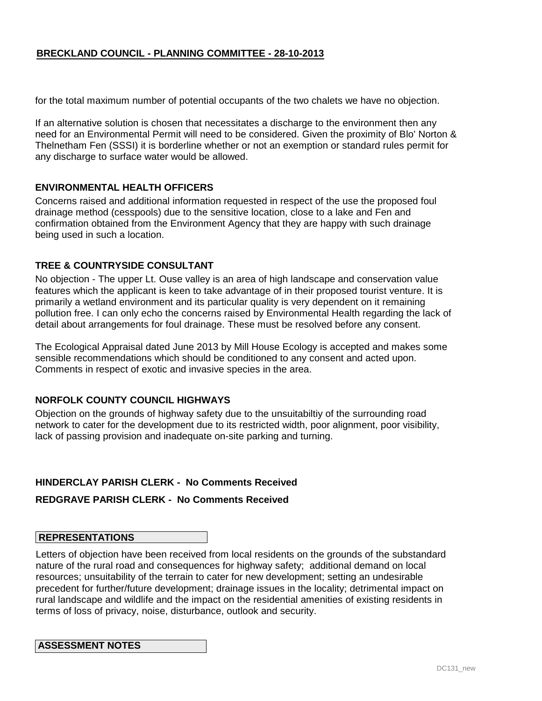for the total maximum number of potential occupants of the two chalets we have no objection.

If an alternative solution is chosen that necessitates a discharge to the environment then any need for an Environmental Permit will need to be considered. Given the proximity of Blo' Norton & Thelnetham Fen (SSSI) it is borderline whether or not an exemption or standard rules permit for any discharge to surface water would be allowed.

#### **ENVIRONMENTAL HEALTH OFFICERS**

Concerns raised and additional information requested in respect of the use the proposed foul drainage method (cesspools) due to the sensitive location, close to a lake and Fen and confirmation obtained from the Environment Agency that they are happy with such drainage being used in such a location.

### **TREE & COUNTRYSIDE CONSULTANT**

No objection - The upper Lt. Ouse valley is an area of high landscape and conservation value features which the applicant is keen to take advantage of in their proposed tourist venture. It is primarily a wetland environment and its particular quality is very dependent on it remaining pollution free. I can only echo the concerns raised by Environmental Health regarding the lack of detail about arrangements for foul drainage. These must be resolved before any consent.

The Ecological Appraisal dated June 2013 by Mill House Ecology is accepted and makes some sensible recommendations which should be conditioned to any consent and acted upon. Comments in respect of exotic and invasive species in the area.

### **NORFOLK COUNTY COUNCIL HIGHWAYS**

Objection on the grounds of highway safety due to the unsuitabiltiy of the surrounding road network to cater for the development due to its restricted width, poor alignment, poor visibility, lack of passing provision and inadequate on-site parking and turning.

# **HINDERCLAY PARISH CLERK - No Comments Received**

#### **REDGRAVE PARISH CLERK - No Comments Received**

# **REPRESENTATIONS**

Letters of objection have been received from local residents on the grounds of the substandard nature of the rural road and consequences for highway safety; additional demand on local resources; unsuitability of the terrain to cater for new development; setting an undesirable precedent for further/future development; drainage issues in the locality; detrimental impact on rural landscape and wildlife and the impact on the residential amenities of existing residents in terms of loss of privacy, noise, disturbance, outlook and security.

#### **ASSESSMENT NOTES**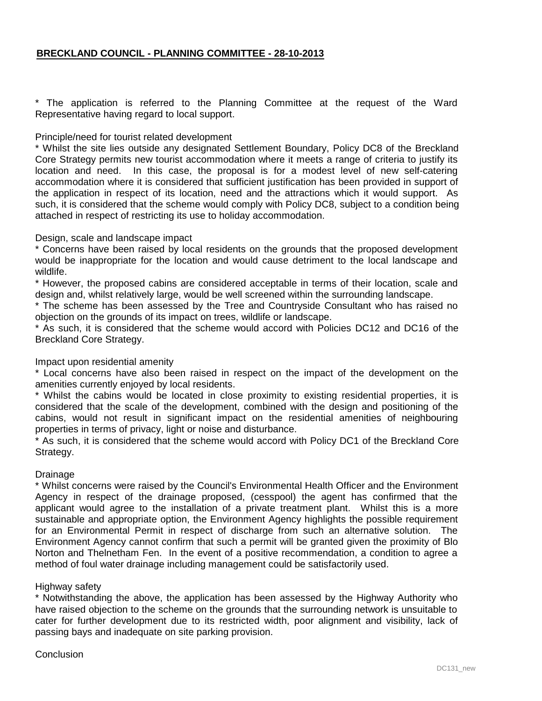\* The application is referred to the Planning Committee at the request of the Ward Representative having regard to local support.

#### Principle/need for tourist related development

\* Whilst the site lies outside any designated Settlement Boundary, Policy DC8 of the Breckland Core Strategy permits new tourist accommodation where it meets a range of criteria to justify its location and need. In this case, the proposal is for a modest level of new self-catering accommodation where it is considered that sufficient justification has been provided in support of the application in respect of its location, need and the attractions which it would support. As such, it is considered that the scheme would comply with Policy DC8, subject to a condition being attached in respect of restricting its use to holiday accommodation.

### Design, scale and landscape impact

\* Concerns have been raised by local residents on the grounds that the proposed development would be inappropriate for the location and would cause detriment to the local landscape and wildlife.

\* However, the proposed cabins are considered acceptable in terms of their location, scale and design and, whilst relatively large, would be well screened within the surrounding landscape.

\* The scheme has been assessed by the Tree and Countryside Consultant who has raised no objection on the grounds of its impact on trees, wildlife or landscape.

\* As such, it is considered that the scheme would accord with Policies DC12 and DC16 of the Breckland Core Strategy.

### Impact upon residential amenity

\* Local concerns have also been raised in respect on the impact of the development on the amenities currently enjoyed by local residents.

\* Whilst the cabins would be located in close proximity to existing residential properties, it is considered that the scale of the development, combined with the design and positioning of the cabins, would not result in significant impact on the residential amenities of neighbouring properties in terms of privacy, light or noise and disturbance.

\* As such, it is considered that the scheme would accord with Policy DC1 of the Breckland Core Strategy.

#### Drainage

\* Whilst concerns were raised by the Council's Environmental Health Officer and the Environment Agency in respect of the drainage proposed, (cesspool) the agent has confirmed that the applicant would agree to the installation of a private treatment plant. Whilst this is a more sustainable and appropriate option, the Environment Agency highlights the possible requirement for an Environmental Permit in respect of discharge from such an alternative solution. The Environment Agency cannot confirm that such a permit will be granted given the proximity of Blo Norton and Thelnetham Fen. In the event of a positive recommendation, a condition to agree a method of foul water drainage including management could be satisfactorily used.

### Highway safety

\* Notwithstanding the above, the application has been assessed by the Highway Authority who have raised objection to the scheme on the grounds that the surrounding network is unsuitable to cater for further development due to its restricted width, poor alignment and visibility, lack of passing bays and inadequate on site parking provision.

#### **Conclusion**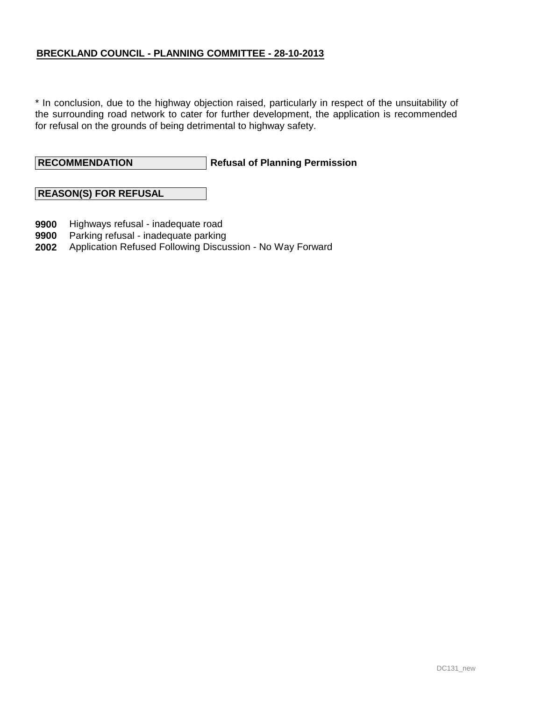\* In conclusion, due to the highway objection raised, particularly in respect of the unsuitability of the surrounding road network to cater for further development, the application is recommended for refusal on the grounds of being detrimental to highway safety.

**Refusal of Planning Permission RECOMMENDATION**

# **REASON(S) FOR REFUSAL**

- **9900** Highways refusal - inadequate road
- **9900** Parking refusal - inadequate parking
- **2002** Application Refused Following Discussion - No Way Forward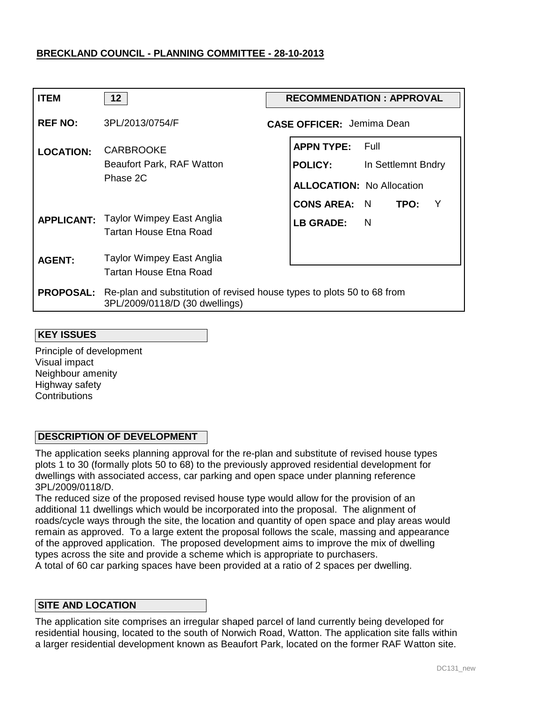| <b>ITEM</b>      | 12 <sup>°</sup>                                                                                                           | <b>RECOMMENDATION: APPROVAL</b>      |  |  |  |
|------------------|---------------------------------------------------------------------------------------------------------------------------|--------------------------------------|--|--|--|
| <b>REF NO:</b>   | 3PL/2013/0754/F                                                                                                           | <b>CASE OFFICER: Jemima Dean</b>     |  |  |  |
| <b>LOCATION:</b> | <b>CARBROOKE</b>                                                                                                          | <b>APPN TYPE: Full</b>               |  |  |  |
|                  | Beaufort Park, RAF Watton                                                                                                 | <b>POLICY:</b><br>In Settlemnt Bndry |  |  |  |
|                  | Phase 2C                                                                                                                  | <b>ALLOCATION: No Allocation</b>     |  |  |  |
|                  |                                                                                                                           | <b>CONS AREA: N</b><br>TPO:<br>- Y   |  |  |  |
|                  | <b>APPLICANT:</b> Taylor Wimpey East Anglia<br>Tartan House Etna Road                                                     | <b>LB GRADE:</b><br>$\blacksquare$   |  |  |  |
| <b>AGENT:</b>    | Taylor Wimpey East Anglia                                                                                                 |                                      |  |  |  |
|                  | Tartan House Etna Road                                                                                                    |                                      |  |  |  |
|                  | <b>PROPOSAL:</b> Re-plan and substitution of revised house types to plots 50 to 68 from<br>3PL/2009/0118/D (30 dwellings) |                                      |  |  |  |

#### **KEY ISSUES**

Principle of development Visual impact Neighbour amenity Highway safety **Contributions** 

### **DESCRIPTION OF DEVELOPMENT**

The application seeks planning approval for the re-plan and substitute of revised house types plots 1 to 30 (formally plots 50 to 68) to the previously approved residential development for dwellings with associated access, car parking and open space under planning reference 3PL/2009/0118/D.

The reduced size of the proposed revised house type would allow for the provision of an additional 11 dwellings which would be incorporated into the proposal. The alignment of roads/cycle ways through the site, the location and quantity of open space and play areas would remain as approved. To a large extent the proposal follows the scale, massing and appearance of the approved application. The proposed development aims to improve the mix of dwelling types across the site and provide a scheme which is appropriate to purchasers. A total of 60 car parking spaces have been provided at a ratio of 2 spaces per dwelling.

#### **SITE AND LOCATION**

The application site comprises an irregular shaped parcel of land currently being developed for residential housing, located to the south of Norwich Road, Watton. The application site falls within a larger residential development known as Beaufort Park, located on the former RAF Watton site.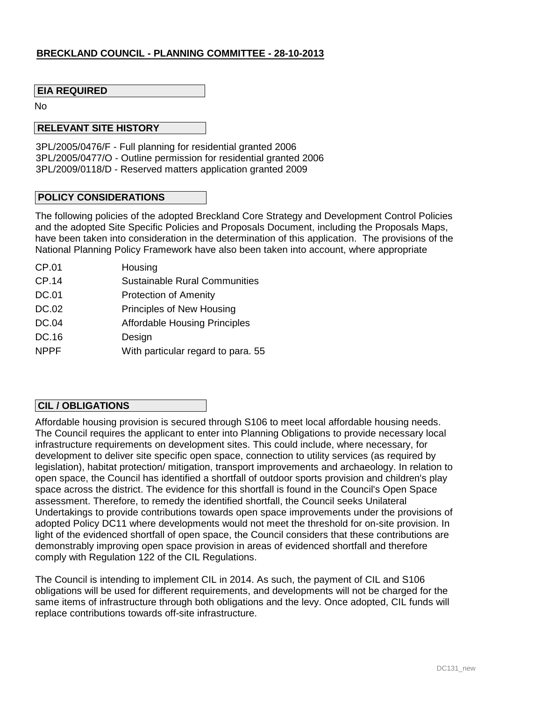### **EIA REQUIRED**

No

#### **RELEVANT SITE HISTORY**

3PL/2005/0476/F - Full planning for residential granted 2006 3PL/2005/0477/O - Outline permission for residential granted 2006 3PL/2009/0118/D - Reserved matters application granted 2009

#### **POLICY CONSIDERATIONS**

The following policies of the adopted Breckland Core Strategy and Development Control Policies and the adopted Site Specific Policies and Proposals Document, including the Proposals Maps, have been taken into consideration in the determination of this application. The provisions of the National Planning Policy Framework have also been taken into account, where appropriate

CP.01 CP.14 DC.01 DC.02 DC.04 DC.16 NPPF Housing Sustainable Rural Communities Protection of Amenity Principles of New Housing Affordable Housing Principles Design With particular regard to para. 55

### **CIL / OBLIGATIONS**

Affordable housing provision is secured through S106 to meet local affordable housing needs. The Council requires the applicant to enter into Planning Obligations to provide necessary local infrastructure requirements on development sites. This could include, where necessary, for development to deliver site specific open space, connection to utility services (as required by legislation), habitat protection/ mitigation, transport improvements and archaeology. In relation to open space, the Council has identified a shortfall of outdoor sports provision and children's play space across the district. The evidence for this shortfall is found in the Council's Open Space assessment. Therefore, to remedy the identified shortfall, the Council seeks Unilateral Undertakings to provide contributions towards open space improvements under the provisions of adopted Policy DC11 where developments would not meet the threshold for on-site provision. In light of the evidenced shortfall of open space, the Council considers that these contributions are demonstrably improving open space provision in areas of evidenced shortfall and therefore comply with Regulation 122 of the CIL Regulations.

The Council is intending to implement CIL in 2014. As such, the payment of CIL and S106 obligations will be used for different requirements, and developments will not be charged for the same items of infrastructure through both obligations and the levy. Once adopted, CIL funds will replace contributions towards off-site infrastructure.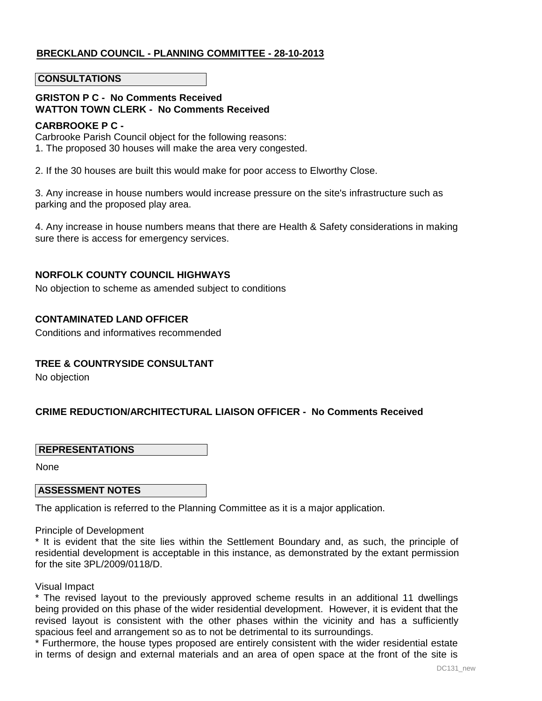#### **CONSULTATIONS**

# **GRISTON P C - No Comments Received WATTON TOWN CLERK - No Comments Received**

#### **CARBROOKE P C -**

Carbrooke Parish Council object for the following reasons:

1. The proposed 30 houses will make the area very congested.

2. If the 30 houses are built this would make for poor access to Elworthy Close.

3. Any increase in house numbers would increase pressure on the site's infrastructure such as parking and the proposed play area.

4. Any increase in house numbers means that there are Health & Safety considerations in making sure there is access for emergency services.

### **NORFOLK COUNTY COUNCIL HIGHWAYS**

No objection to scheme as amended subject to conditions

### **CONTAMINATED LAND OFFICER**

Conditions and informatives recommended

### **TREE & COUNTRYSIDE CONSULTANT**

No objection

# **CRIME REDUCTION/ARCHITECTURAL LIAISON OFFICER - No Comments Received**

### **REPRESENTATIONS**

None

#### **ASSESSMENT NOTES**

The application is referred to the Planning Committee as it is a major application.

### Principle of Development

\* It is evident that the site lies within the Settlement Boundary and, as such, the principle of residential development is acceptable in this instance, as demonstrated by the extant permission for the site 3PL/2009/0118/D.

#### Visual Impact

\* The revised layout to the previously approved scheme results in an additional 11 dwellings being provided on this phase of the wider residential development. However, it is evident that the revised layout is consistent with the other phases within the vicinity and has a sufficiently spacious feel and arrangement so as to not be detrimental to its surroundings.

\* Furthermore, the house types proposed are entirely consistent with the wider residential estate in terms of design and external materials and an area of open space at the front of the site is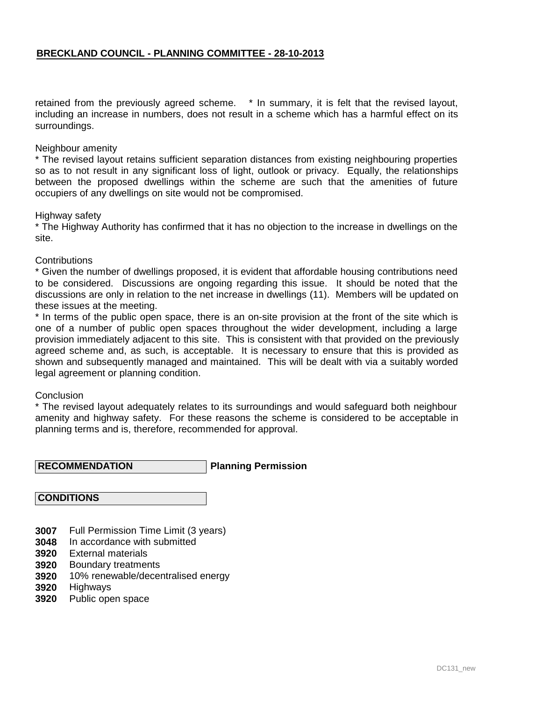retained from the previously agreed scheme. \* In summary, it is felt that the revised layout, including an increase in numbers, does not result in a scheme which has a harmful effect on its surroundings.

#### Neighbour amenity

\* The revised layout retains sufficient separation distances from existing neighbouring properties so as to not result in any significant loss of light, outlook or privacy. Equally, the relationships between the proposed dwellings within the scheme are such that the amenities of future occupiers of any dwellings on site would not be compromised.

#### Highway safety

\* The Highway Authority has confirmed that it has no objection to the increase in dwellings on the site.

### **Contributions**

\* Given the number of dwellings proposed, it is evident that affordable housing contributions need to be considered. Discussions are ongoing regarding this issue. It should be noted that the discussions are only in relation to the net increase in dwellings (11). Members will be updated on these issues at the meeting.

\* In terms of the public open space, there is an on-site provision at the front of the site which is one of a number of public open spaces throughout the wider development, including a large provision immediately adjacent to this site. This is consistent with that provided on the previously agreed scheme and, as such, is acceptable. It is necessary to ensure that this is provided as shown and subsequently managed and maintained. This will be dealt with via a suitably worded legal agreement or planning condition.

#### Conclusion

\* The revised layout adequately relates to its surroundings and would safeguard both neighbour amenity and highway safety. For these reasons the scheme is considered to be acceptable in planning terms and is, therefore, recommended for approval.

**Planning Permission RECOMMENDATION**

#### **CONDITIONS**

- **3007** Full Permission Time Limit (3 years)
- **3048** In accordance with submitted
- **3920** External materials
- **3920** Boundary treatments
- **3920** 10% renewable/decentralised energy
- **3920 Highways**
- **3920** Public open space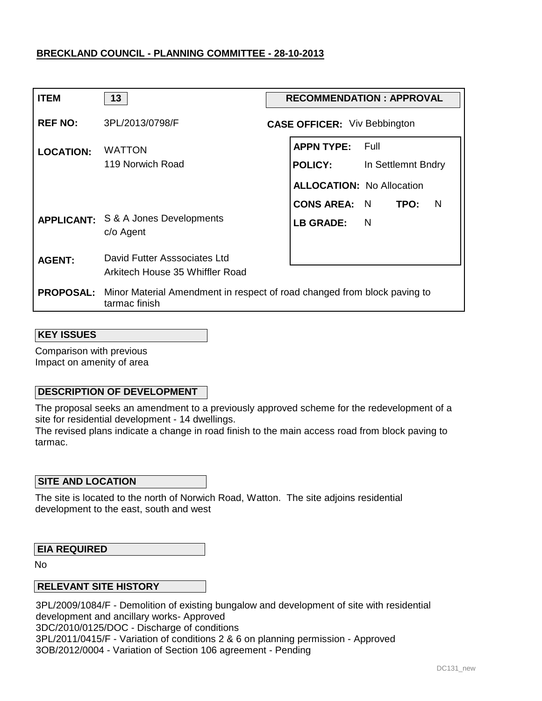| <b>ITEM</b>      | 13                                                                                                         | <b>RECOMMENDATION: APPROVAL</b> |                                     |                    |  |
|------------------|------------------------------------------------------------------------------------------------------------|---------------------------------|-------------------------------------|--------------------|--|
| <b>REF NO:</b>   | 3PL/2013/0798/F                                                                                            |                                 | <b>CASE OFFICER:</b> Viv Bebbington |                    |  |
| <b>LOCATION:</b> | <b>WATTON</b>                                                                                              |                                 | <b>APPN TYPE:</b>                   | – Full             |  |
|                  | 119 Norwich Road                                                                                           |                                 | <b>POLICY:</b>                      | In Settlemnt Bndry |  |
|                  |                                                                                                            |                                 | <b>ALLOCATION: No Allocation</b>    |                    |  |
|                  |                                                                                                            |                                 | <b>CONS AREA:</b>                   | N<br>- N<br>TPO:   |  |
|                  | <b>APPLICANT:</b> S & A Jones Developments<br>c/o Agent                                                    |                                 | <b>LB GRADE:</b>                    | <b>N</b>           |  |
| <b>AGENT:</b>    | David Futter Asssociates Ltd                                                                               |                                 |                                     |                    |  |
|                  | Arkitech House 35 Whiffler Road                                                                            |                                 |                                     |                    |  |
|                  | <b>PROPOSAL:</b> Minor Material Amendment in respect of road changed from block paving to<br>tarmac finish |                                 |                                     |                    |  |

#### **KEY ISSUES**

Comparison with previous Impact on amenity of area

### **DESCRIPTION OF DEVELOPMENT**

The proposal seeks an amendment to a previously approved scheme for the redevelopment of a site for residential development - 14 dwellings.

The revised plans indicate a change in road finish to the main access road from block paving to tarmac.

### **SITE AND LOCATION**

The site is located to the north of Norwich Road, Watton. The site adjoins residential development to the east, south and west

#### **EIA REQUIRED**

No

### **RELEVANT SITE HISTORY**

3PL/2009/1084/F - Demolition of existing bungalow and development of site with residential development and ancillary works- Approved 3DC/2010/0125/DOC - Discharge of conditions 3PL/2011/0415/F - Variation of conditions 2 & 6 on planning permission - Approved 3OB/2012/0004 - Variation of Section 106 agreement - Pending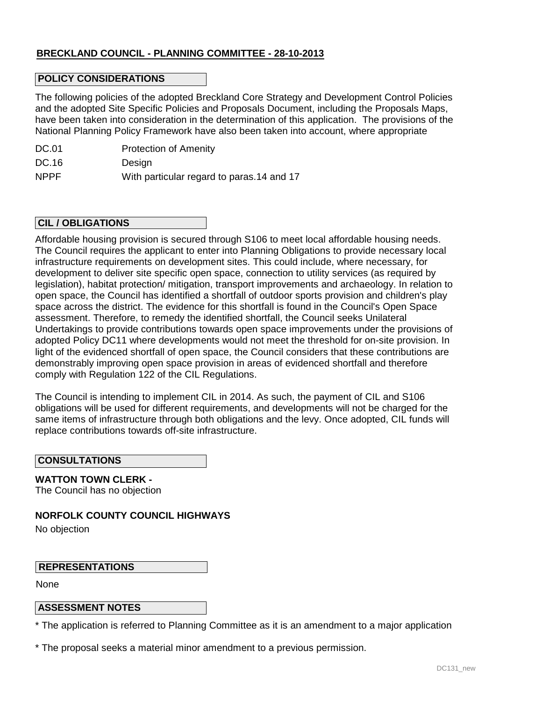### **POLICY CONSIDERATIONS**

The following policies of the adopted Breckland Core Strategy and Development Control Policies and the adopted Site Specific Policies and Proposals Document, including the Proposals Maps, have been taken into consideration in the determination of this application. The provisions of the National Planning Policy Framework have also been taken into account, where appropriate

| DC.01       | <b>Protection of Amenity</b>               |
|-------------|--------------------------------------------|
| DC.16       | Design                                     |
| <b>NPPF</b> | With particular regard to paras. 14 and 17 |

#### **CIL / OBLIGATIONS**

Affordable housing provision is secured through S106 to meet local affordable housing needs. The Council requires the applicant to enter into Planning Obligations to provide necessary local infrastructure requirements on development sites. This could include, where necessary, for development to deliver site specific open space, connection to utility services (as required by legislation), habitat protection/ mitigation, transport improvements and archaeology. In relation to open space, the Council has identified a shortfall of outdoor sports provision and children's play space across the district. The evidence for this shortfall is found in the Council's Open Space assessment. Therefore, to remedy the identified shortfall, the Council seeks Unilateral Undertakings to provide contributions towards open space improvements under the provisions of adopted Policy DC11 where developments would not meet the threshold for on-site provision. In light of the evidenced shortfall of open space, the Council considers that these contributions are demonstrably improving open space provision in areas of evidenced shortfall and therefore comply with Regulation 122 of the CIL Regulations.

The Council is intending to implement CIL in 2014. As such, the payment of CIL and S106 obligations will be used for different requirements, and developments will not be charged for the same items of infrastructure through both obligations and the levy. Once adopted, CIL funds will replace contributions towards off-site infrastructure.

#### **CONSULTATIONS**

**WATTON TOWN CLERK -**  The Council has no objection

**NORFOLK COUNTY COUNCIL HIGHWAYS** 

No objection

#### **REPRESENTATIONS**

None

### **ASSESSMENT NOTES**

\* The application is referred to Planning Committee as it is an amendment to a major application

\* The proposal seeks a material minor amendment to a previous permission.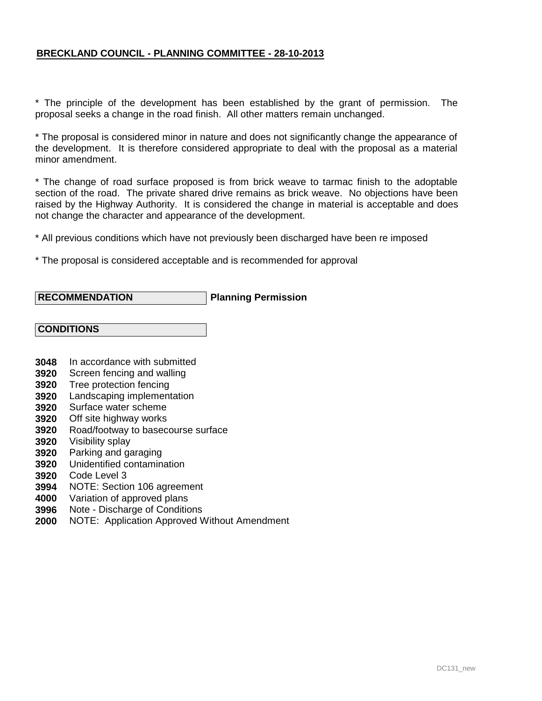\* The principle of the development has been established by the grant of permission. The proposal seeks a change in the road finish. All other matters remain unchanged.

\* The proposal is considered minor in nature and does not significantly change the appearance of the development. It is therefore considered appropriate to deal with the proposal as a material minor amendment.

\* The change of road surface proposed is from brick weave to tarmac finish to the adoptable section of the road. The private shared drive remains as brick weave. No objections have been raised by the Highway Authority. It is considered the change in material is acceptable and does not change the character and appearance of the development.

\* All previous conditions which have not previously been discharged have been re imposed

\* The proposal is considered acceptable and is recommended for approval

### **RECOMMENDATION**

### **Planning Permission**

#### **CONDITIONS**

- **3048** In accordance with submitted
- **3920** Screen fencing and walling
- **3920** Tree protection fencing
- **3920** Landscaping implementation
- **3920** Surface water scheme
- **3920** Off site highway works
- **3920** Road/footway to basecourse surface
- **3920** Visibility splay
- **3920** Parking and garaging
- **3920** Unidentified contamination
- **3920** Code Level 3
- **3994** NOTE: Section 106 agreement
- **4000** Variation of approved plans
- **3996** Note - Discharge of Conditions
- **2000** NOTE: Application Approved Without Amendment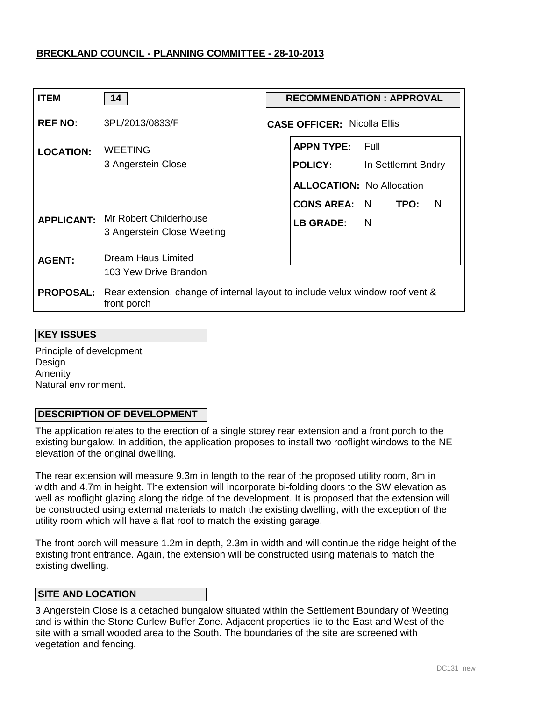| <b>ITEM</b>       | 14                                                                                                            | <b>RECOMMENDATION: APPROVAL</b> |                                    |                    |  |
|-------------------|---------------------------------------------------------------------------------------------------------------|---------------------------------|------------------------------------|--------------------|--|
| <b>REF NO:</b>    | 3PL/2013/0833/F                                                                                               |                                 | <b>CASE OFFICER: Nicolla Ellis</b> |                    |  |
| <b>LOCATION:</b>  | <b>WEETING</b>                                                                                                |                                 | <b>APPN TYPE: Full</b>             |                    |  |
|                   | 3 Angerstein Close                                                                                            |                                 | <b>POLICY:</b>                     | In Settlemnt Bndry |  |
|                   |                                                                                                               |                                 | <b>ALLOCATION: No Allocation</b>   |                    |  |
|                   |                                                                                                               |                                 | CONS AREA: N TPO:                  | - N                |  |
| <b>APPLICANT:</b> | Mr Robert Childerhouse<br>3 Angerstein Close Weeting                                                          |                                 | <b>LB GRADE:</b>                   | <b>N</b>           |  |
| <b>AGENT:</b>     | <b>Dream Haus Limited</b>                                                                                     |                                 |                                    |                    |  |
|                   | 103 Yew Drive Brandon                                                                                         |                                 |                                    |                    |  |
|                   | <b>PROPOSAL:</b> Rear extension, change of internal layout to include velux window roof vent &<br>front porch |                                 |                                    |                    |  |

#### **KEY ISSUES**

Principle of development Design Amenity Natural environment.

### **DESCRIPTION OF DEVELOPMENT**

The application relates to the erection of a single storey rear extension and a front porch to the existing bungalow. In addition, the application proposes to install two rooflight windows to the NE elevation of the original dwelling.

The rear extension will measure 9.3m in length to the rear of the proposed utility room, 8m in width and 4.7m in height. The extension will incorporate bi-folding doors to the SW elevation as well as rooflight glazing along the ridge of the development. It is proposed that the extension will be constructed using external materials to match the existing dwelling, with the exception of the utility room which will have a flat roof to match the existing garage.

The front porch will measure 1.2m in depth, 2.3m in width and will continue the ridge height of the existing front entrance. Again, the extension will be constructed using materials to match the existing dwelling.

### **SITE AND LOCATION**

3 Angerstein Close is a detached bungalow situated within the Settlement Boundary of Weeting and is within the Stone Curlew Buffer Zone. Adjacent properties lie to the East and West of the site with a small wooded area to the South. The boundaries of the site are screened with vegetation and fencing.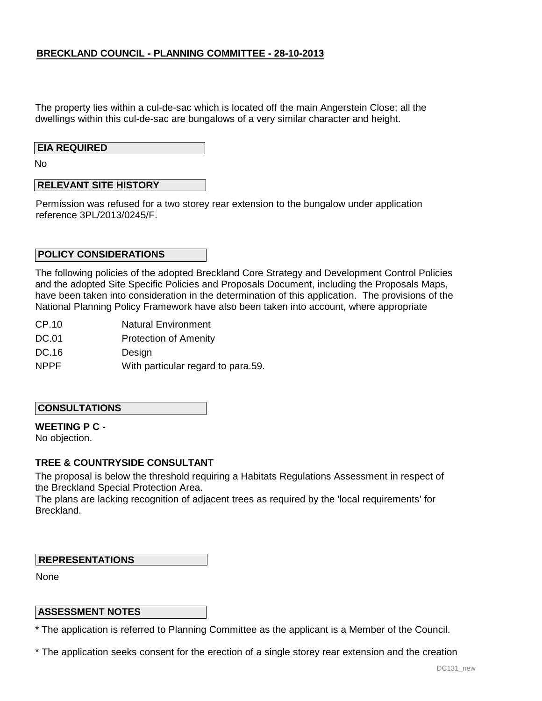The property lies within a cul-de-sac which is located off the main Angerstein Close; all the dwellings within this cul-de-sac are bungalows of a very similar character and height.

### **EIA REQUIRED**

No

### **RELEVANT SITE HISTORY**

Permission was refused for a two storey rear extension to the bungalow under application reference 3PL/2013/0245/F.

#### **POLICY CONSIDERATIONS**

The following policies of the adopted Breckland Core Strategy and Development Control Policies and the adopted Site Specific Policies and Proposals Document, including the Proposals Maps, have been taken into consideration in the determination of this application. The provisions of the National Planning Policy Framework have also been taken into account, where appropriate

CP.10 Natural Environment

DC.01 Protection of Amenity

DC.16 **Design** 

NPPF With particular regard to para.59.

#### **CONSULTATIONS**

### **WEETING P C -**

No objection.

### **TREE & COUNTRYSIDE CONSULTANT**

The proposal is below the threshold requiring a Habitats Regulations Assessment in respect of the Breckland Special Protection Area.

The plans are lacking recognition of adjacent trees as required by the 'local requirements' for Breckland.

#### **REPRESENTATIONS**

None

#### **ASSESSMENT NOTES**

\* The application is referred to Planning Committee as the applicant is a Member of the Council.

\* The application seeks consent for the erection of a single storey rear extension and the creation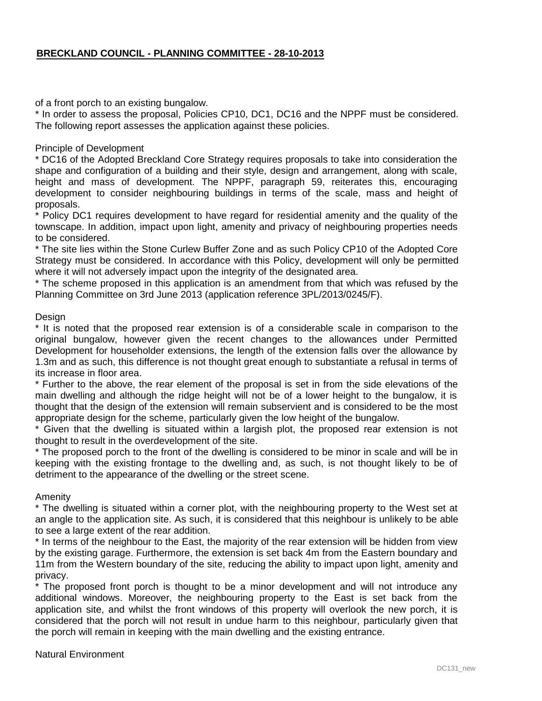of a front porch to an existing bungalow.

\* In order to assess the proposal, Policies CP10, DC1, DC16 and the NPPF must be considered. The following report assesses the application against these policies.

Principle of Development

\* DC16 of the Adopted Breckland Core Strategy requires proposals to take into consideration the shape and configuration of a building and their style, design and arrangement, along with scale, height and mass of development. The NPPF, paragraph 59, reiterates this, encouraging development to consider neighbouring buildings in terms of the scale, mass and height of proposals.

\* Policy DC1 requires development to have regard for residential amenity and the quality of the townscape. In addition, impact upon light, amenity and privacy of neighbouring properties needs to be considered.

\* The site lies within the Stone Curlew Buffer Zone and as such Policy CP10 of the Adopted Core Strategy must be considered. In accordance with this Policy, development will only be permitted where it will not adversely impact upon the integrity of the designated area.

\* The scheme proposed in this application is an amendment from that which was refused by the Planning Committee on 3rd June 2013 (application reference 3PL/2013/0245/F).

#### Design

\* It is noted that the proposed rear extension is of a considerable scale in comparison to the original bungalow, however given the recent changes to the allowances under Permitted Development for householder extensions, the length of the extension falls over the allowance by 1.3m and as such, this difference is not thought great enough to substantiate a refusal in terms of its increase in floor area.

\* Further to the above, the rear element of the proposal is set in from the side elevations of the main dwelling and although the ridge height will not be of a lower height to the bungalow, it is thought that the design of the extension will remain subservient and is considered to be the most appropriate design for the scheme, particularly given the low height of the bungalow.

\* Given that the dwelling is situated within a largish plot, the proposed rear extension is not thought to result in the overdevelopment of the site.

\* The proposed porch to the front of the dwelling is considered to be minor in scale and will be in keeping with the existing frontage to the dwelling and, as such, is not thought likely to be of detriment to the appearance of the dwelling or the street scene.

Amenity

\* The dwelling is situated within a corner plot, with the neighbouring property to the West set at an angle to the application site. As such, it is considered that this neighbour is unlikely to be able to see a large extent of the rear addition.

\* In terms of the neighbour to the East, the majority of the rear extension will be hidden from view by the existing garage. Furthermore, the extension is set back 4m from the Eastern boundary and 11m from the Western boundary of the site, reducing the ability to impact upon light, amenity and privacy.

\* The proposed front porch is thought to be a minor development and will not introduce any additional windows. Moreover, the neighbouring property to the East is set back from the application site, and whilst the front windows of this property will overlook the new porch, it is considered that the porch will not result in undue harm to this neighbour, particularly given that the porch will remain in keeping with the main dwelling and the existing entrance.